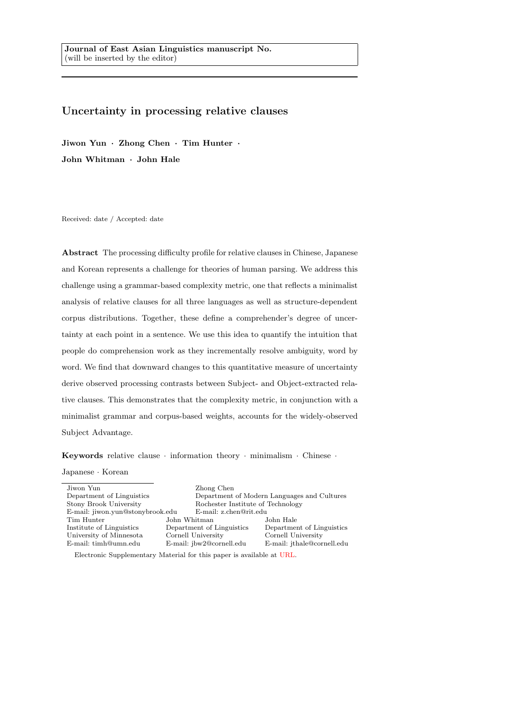# Uncertainty in processing relative clauses

Jiwon Yun · Zhong Chen · Tim Hunter · John Whitman · John Hale

Received: date / Accepted: date

Abstract The processing difficulty profile for relative clauses in Chinese, Japanese and Korean represents a challenge for theories of human parsing. We address this challenge using a grammar-based complexity metric, one that reflects a minimalist analysis of relative clauses for all three languages as well as structure-dependent corpus distributions. Together, these define a comprehender's degree of uncertainty at each point in a sentence. We use this idea to quantify the intuition that people do comprehension work as they incrementally resolve ambiguity, word by word. We find that downward changes to this quantitative measure of uncertainty derive observed processing contrasts between Subject- and Object-extracted relative clauses. This demonstrates that the complexity metric, in conjunction with a minimalist grammar and corpus-based weights, accounts for the widely-observed Subject Advantage.

Keywords relative clause  $\cdot$  information theory  $\cdot$  minimalism  $\cdot$  Chinese  $\cdot$ 

### Japanese · Korean

| Jiwon Yun                        |              | Zhong Chen                        |                                             |  |
|----------------------------------|--------------|-----------------------------------|---------------------------------------------|--|
| Department of Linguistics        |              |                                   | Department of Modern Languages and Cultures |  |
| Stony Brook University           |              | Rochester Institute of Technology |                                             |  |
| E-mail: jiwon.yun@stonybrook.edu |              | E-mail: z.chen@rit.edu            |                                             |  |
| Tim Hunter                       | John Whitman |                                   | John Hale                                   |  |
| Institute of Linguistics         |              | Department of Linguistics         | Department of Linguistics                   |  |
| University of Minnesota          |              | Cornell University                | Cornell University                          |  |
| E-mail: timh@umn.edu             |              | E-mail: jbw2@cornell.edu          | E-mail: ithale@cornell.edu                  |  |
|                                  |              |                                   |                                             |  |

Electronic Supplementary Material for this paper is available at URL.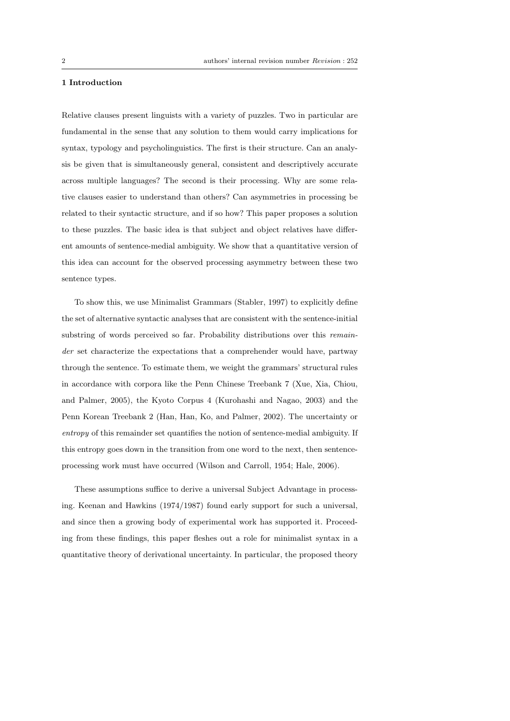### 1 Introduction

Relative clauses present linguists with a variety of puzzles. Two in particular are fundamental in the sense that any solution to them would carry implications for syntax, typology and psycholinguistics. The first is their structure. Can an analysis be given that is simultaneously general, consistent and descriptively accurate across multiple languages? The second is their processing. Why are some relative clauses easier to understand than others? Can asymmetries in processing be related to their syntactic structure, and if so how? This paper proposes a solution to these puzzles. The basic idea is that subject and object relatives have different amounts of sentence-medial ambiguity. We show that a quantitative version of this idea can account for the observed processing asymmetry between these two sentence types.

To show this, we use Minimalist Grammars (Stabler, 1997) to explicitly define the set of alternative syntactic analyses that are consistent with the sentence-initial substring of words perceived so far. Probability distributions over this remainder set characterize the expectations that a comprehender would have, partway through the sentence. To estimate them, we weight the grammars' structural rules in accordance with corpora like the Penn Chinese Treebank 7 (Xue, Xia, Chiou, and Palmer, 2005), the Kyoto Corpus 4 (Kurohashi and Nagao, 2003) and the Penn Korean Treebank 2 (Han, Han, Ko, and Palmer, 2002). The uncertainty or entropy of this remainder set quantifies the notion of sentence-medial ambiguity. If this entropy goes down in the transition from one word to the next, then sentenceprocessing work must have occurred (Wilson and Carroll, 1954; Hale, 2006).

These assumptions suffice to derive a universal Subject Advantage in processing. Keenan and Hawkins (1974/1987) found early support for such a universal, and since then a growing body of experimental work has supported it. Proceeding from these findings, this paper fleshes out a role for minimalist syntax in a quantitative theory of derivational uncertainty. In particular, the proposed theory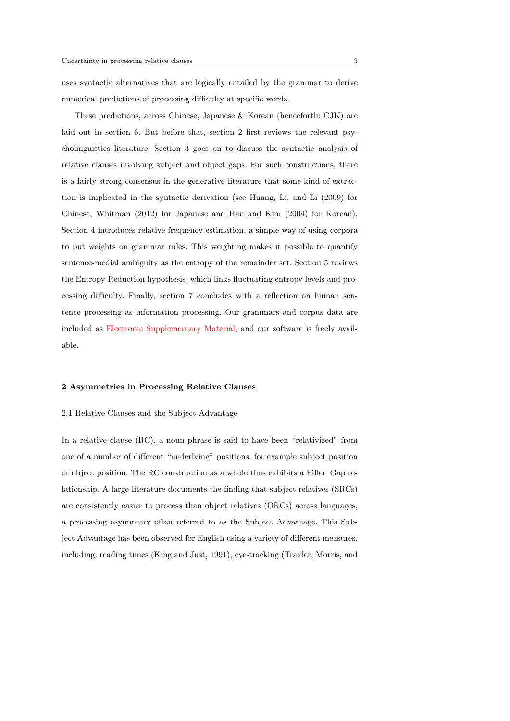uses syntactic alternatives that are logically entailed by the grammar to derive numerical predictions of processing difficulty at specific words.

These predictions, across Chinese, Japanese & Korean (henceforth: CJK) are laid out in section 6. But before that, section 2 first reviews the relevant psycholinguistics literature. Section 3 goes on to discuss the syntactic analysis of relative clauses involving subject and object gaps. For such constructions, there is a fairly strong consensus in the generative literature that some kind of extraction is implicated in the syntactic derivation (see Huang, Li, and Li (2009) for Chinese, Whitman (2012) for Japanese and Han and Kim (2004) for Korean). Section 4 introduces relative frequency estimation, a simple way of using corpora to put weights on grammar rules. This weighting makes it possible to quantify sentence-medial ambiguity as the entropy of the remainder set. Section 5 reviews the Entropy Reduction hypothesis, which links fluctuating entropy levels and processing difficulty. Finally, section 7 concludes with a reflection on human sentence processing as information processing. Our grammars and corpus data are included as Electronic Supplementary Material, and our software is freely available.

### 2 Asymmetries in Processing Relative Clauses

### 2.1 Relative Clauses and the Subject Advantage

In a relative clause (RC), a noun phrase is said to have been "relativized" from one of a number of different "underlying" positions, for example subject position or object position. The RC construction as a whole thus exhibits a Filler–Gap relationship. A large literature documents the finding that subject relatives (SRCs) are consistently easier to process than object relatives (ORCs) across languages, a processing asymmetry often referred to as the Subject Advantage. This Subject Advantage has been observed for English using a variety of different measures, including: reading times (King and Just, 1991), eye-tracking (Traxler, Morris, and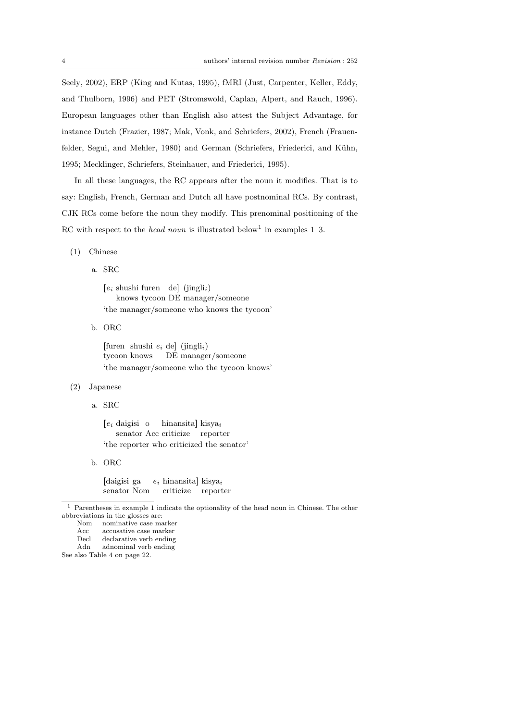Seely, 2002), ERP (King and Kutas, 1995), fMRI (Just, Carpenter, Keller, Eddy, and Thulborn, 1996) and PET (Stromswold, Caplan, Alpert, and Rauch, 1996). European languages other than English also attest the Subject Advantage, for instance Dutch (Frazier, 1987; Mak, Vonk, and Schriefers, 2002), French (Frauenfelder, Segui, and Mehler, 1980) and German (Schriefers, Friederici, and Kühn, 1995; Mecklinger, Schriefers, Steinhauer, and Friederici, 1995).

In all these languages, the RC appears after the noun it modifies. That is to say: English, French, German and Dutch all have postnominal RCs. By contrast, CJK RCs come before the noun they modify. This prenominal positioning of the RC with respect to the *head noun* is illustrated below<sup>1</sup> in examples 1–3.

#### (1) Chinese

a. SRC

 $[e_i$  shushi furen de] (jingli<sub>i</sub>) knows tycoon DE manager/someone 'the manager/someone who knows the tycoon'

b. ORC

[furen shushi  $e_i$  de] (jingli<sub>i</sub>) tycoon knows DE manager/someone 'the manager/someone who the tycoon knows'

### (2) Japanese

a. SRC

 $[e_i]$  daigisi o senator Acc criticize reporter hinansita] kisya<sub>i</sub> 'the reporter who criticized the senator'

b. ORC

[daigisi ga senator Nom  $e_i$  hinansita] kisya $_i$ criticize reporter

<sup>1</sup> Parentheses in example 1 indicate the optionality of the head noun in Chinese. The other abbreviations in the glosses are:<br>Nom nominative case ma

Adn adnominal verb ending

See also Table 4 on page 22.

Nom nominative case marker<br>Acc accusative case marker

Acc accusative case marker<br>Decl declarative verb ending

declarative verb ending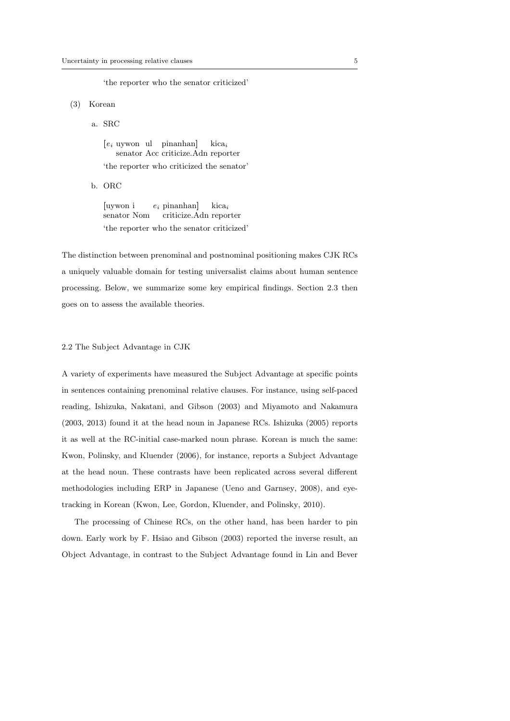'the reporter who the senator criticized'

#### (3) Korean

a. SRC

[e<sup>i</sup> uywon ul pinanhan] senator Acc criticize.Adn reporter kica<sup>i</sup> 'the reporter who criticized the senator'

b. ORC

[uywon i senator Nom  $e_i$  pinanhan] criticize.Adn reporter kica<sup>i</sup> 'the reporter who the senator criticized'

The distinction between prenominal and postnominal positioning makes CJK RCs a uniquely valuable domain for testing universalist claims about human sentence processing. Below, we summarize some key empirical findings. Section 2.3 then goes on to assess the available theories.

## 2.2 The Subject Advantage in CJK

A variety of experiments have measured the Subject Advantage at specific points in sentences containing prenominal relative clauses. For instance, using self-paced reading, Ishizuka, Nakatani, and Gibson (2003) and Miyamoto and Nakamura (2003, 2013) found it at the head noun in Japanese RCs. Ishizuka (2005) reports it as well at the RC-initial case-marked noun phrase. Korean is much the same: Kwon, Polinsky, and Kluender (2006), for instance, reports a Subject Advantage at the head noun. These contrasts have been replicated across several different methodologies including ERP in Japanese (Ueno and Garnsey, 2008), and eyetracking in Korean (Kwon, Lee, Gordon, Kluender, and Polinsky, 2010).

The processing of Chinese RCs, on the other hand, has been harder to pin down. Early work by F. Hsiao and Gibson (2003) reported the inverse result, an Object Advantage, in contrast to the Subject Advantage found in Lin and Bever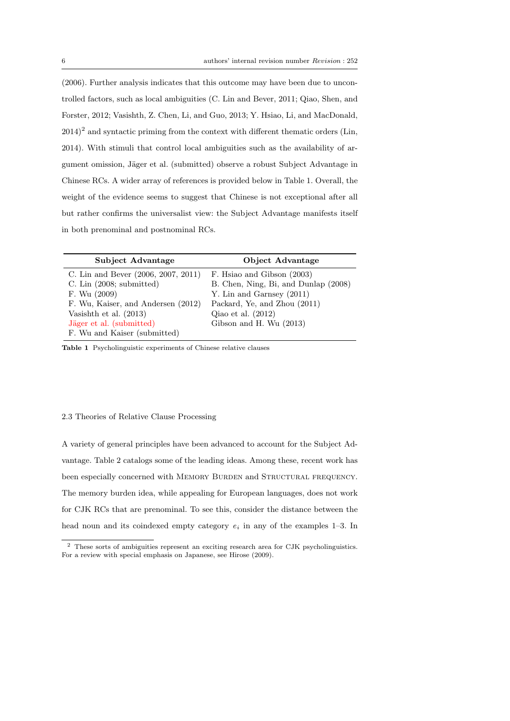(2006). Further analysis indicates that this outcome may have been due to uncontrolled factors, such as local ambiguities (C. Lin and Bever, 2011; Qiao, Shen, and Forster, 2012; Vasishth, Z. Chen, Li, and Guo, 2013; Y. Hsiao, Li, and MacDonald,  $(2014)^2$  and syntactic priming from the context with different thematic orders (Lin, 2014). With stimuli that control local ambiguities such as the availability of argument omission, Jäger et al. (submitted) observe a robust Subject Advantage in Chinese RCs. A wider array of references is provided below in Table 1. Overall, the weight of the evidence seems to suggest that Chinese is not exceptional after all but rather confirms the universalist view: the Subject Advantage manifests itself in both prenominal and postnominal RCs.

| Subject Advantage                                                                                                                                     | Object Advantage                                                                                                                                          |
|-------------------------------------------------------------------------------------------------------------------------------------------------------|-----------------------------------------------------------------------------------------------------------------------------------------------------------|
| C. Lin and Bever (2006, 2007, 2011)<br>C. Lin $(2008;$ submitted)<br>F. Wu $(2009)$<br>F. Wu, Kaiser, and Andersen (2012)<br>Vasishth et al. $(2013)$ | F. Hsiao and Gibson (2003)<br>B. Chen, Ning, Bi, and Dunlap (2008)<br>Y. Lin and Garnsey $(2011)$<br>Packard, Ye, and Zhou (2011)<br>Qiao et al. $(2012)$ |
| Jäger et al. (submitted)<br>F. Wu and Kaiser (submitted)                                                                                              | Gibson and H. Wu (2013)                                                                                                                                   |

Table 1 Psycholinguistic experiments of Chinese relative clauses

### 2.3 Theories of Relative Clause Processing

A variety of general principles have been advanced to account for the Subject Advantage. Table 2 catalogs some of the leading ideas. Among these, recent work has been especially concerned with MEMORY BURDEN and STRUCTURAL FREQUENCY. The memory burden idea, while appealing for European languages, does not work for CJK RCs that are prenominal. To see this, consider the distance between the head noun and its coindexed empty category  $e_i$  in any of the examples 1–3. In

<sup>2</sup> These sorts of ambiguities represent an exciting research area for CJK psycholinguistics. For a review with special emphasis on Japanese, see Hirose (2009).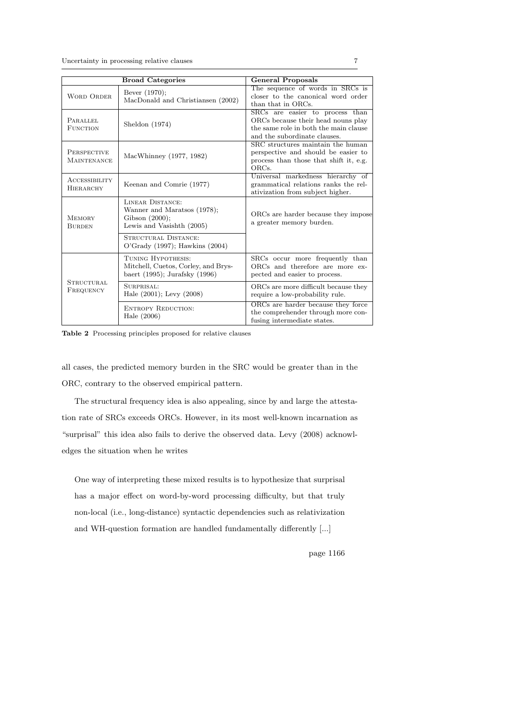|                                          | <b>Broad Categories</b>                                                                           | <b>General Proposals</b>                                                                                                                       |  |  |
|------------------------------------------|---------------------------------------------------------------------------------------------------|------------------------------------------------------------------------------------------------------------------------------------------------|--|--|
| <b>WORD ORDER</b>                        | Bever (1970);<br>MacDonald and Christiansen (2002)                                                | The sequence of words in SRCs is<br>closer to the canonical word order<br>than that in ORCs.                                                   |  |  |
| PARALLEL<br><b>FUNCTION</b>              | Sheldon $(1974)$                                                                                  | SRCs are easier to process than<br>ORCs because their head nouns play<br>the same role in both the main clause<br>and the subordinate clauses. |  |  |
| <b>PERSPECTIVE</b><br><b>MAINTENANCE</b> | MacWhinney (1977, 1982)                                                                           | SRC structures maintain the human<br>perspective and should be easier to<br>process than those that shift it, e.g.<br>ORCs.                    |  |  |
| ACCESSIBILITY<br><b>HIERARCHY</b>        | Keenan and Comrie (1977)                                                                          | Universal markedness hierarchy of<br>grammatical relations ranks the rel-<br>ativization from subject higher.                                  |  |  |
| <b>MEMORY</b><br><b>BURDEN</b>           | LINEAR DISTANCE:<br>Wanner and Maratsos (1978);<br>Gibson $(2000)$ ;<br>Lewis and Vasishth (2005) | ORCs are harder because they impose<br>a greater memory burden.                                                                                |  |  |
|                                          | STRUCTURAL DISTANCE:<br>$O'Grady$ (1997); Hawkins (2004)                                          |                                                                                                                                                |  |  |
|                                          | TUNING HYPOTHESIS:<br>Mitchell, Cuetos, Corley, and Brys-<br>baert (1995); Jurafsky (1996)        | SRCs occur more frequently than<br>ORCs and therefore are more ex-<br>pected and easier to process.                                            |  |  |
| <b>STRUCTURAL</b><br>FREQUENCY           | SURPRISAL:<br>Hale (2001); Levy (2008)                                                            | ORCs are more difficult because they<br>require a low-probability rule.                                                                        |  |  |
|                                          | <b>ENTROPY REDUCTION:</b><br>Hale $(2006)$                                                        | ORCs are harder because they force<br>the comprehender through more con-<br>fusing intermediate states.                                        |  |  |

Table 2 Processing principles proposed for relative clauses

all cases, the predicted memory burden in the SRC would be greater than in the ORC, contrary to the observed empirical pattern.

The structural frequency idea is also appealing, since by and large the attestation rate of SRCs exceeds ORCs. However, in its most well-known incarnation as "surprisal" this idea also fails to derive the observed data. Levy (2008) acknowledges the situation when he writes

One way of interpreting these mixed results is to hypothesize that surprisal has a major effect on word-by-word processing difficulty, but that truly non-local (i.e., long-distance) syntactic dependencies such as relativization and WH-question formation are handled fundamentally differently [...]

page 1166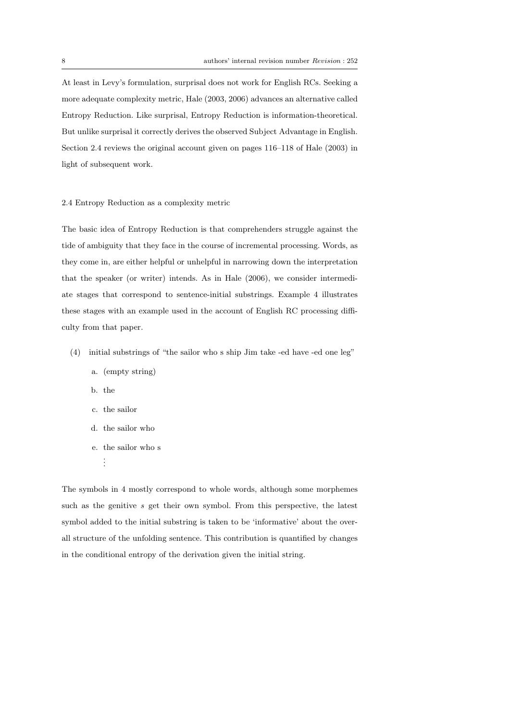At least in Levy's formulation, surprisal does not work for English RCs. Seeking a more adequate complexity metric, Hale (2003, 2006) advances an alternative called Entropy Reduction. Like surprisal, Entropy Reduction is information-theoretical. But unlike surprisal it correctly derives the observed Subject Advantage in English. Section 2.4 reviews the original account given on pages 116–118 of Hale (2003) in light of subsequent work.

#### 2.4 Entropy Reduction as a complexity metric

The basic idea of Entropy Reduction is that comprehenders struggle against the tide of ambiguity that they face in the course of incremental processing. Words, as they come in, are either helpful or unhelpful in narrowing down the interpretation that the speaker (or writer) intends. As in Hale (2006), we consider intermediate stages that correspond to sentence-initial substrings. Example 4 illustrates these stages with an example used in the account of English RC processing difficulty from that paper.

- (4) initial substrings of "the sailor who s ship Jim take -ed have -ed one leg"
	- a. (empty string)
	- b. the
	- c. the sailor
	- d. the sailor who
	- e. the sailor who s
		- . . .

The symbols in 4 mostly correspond to whole words, although some morphemes such as the genitive  $s$  get their own symbol. From this perspective, the latest symbol added to the initial substring is taken to be 'informative' about the overall structure of the unfolding sentence. This contribution is quantified by changes in the conditional entropy of the derivation given the initial string.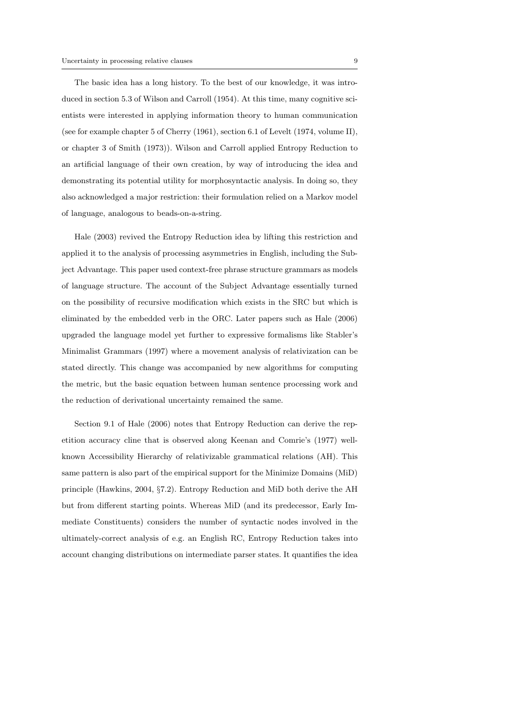The basic idea has a long history. To the best of our knowledge, it was introduced in section 5.3 of Wilson and Carroll (1954). At this time, many cognitive scientists were interested in applying information theory to human communication (see for example chapter 5 of Cherry (1961), section 6.1 of Levelt (1974, volume II), or chapter 3 of Smith (1973)). Wilson and Carroll applied Entropy Reduction to an artificial language of their own creation, by way of introducing the idea and demonstrating its potential utility for morphosyntactic analysis. In doing so, they also acknowledged a major restriction: their formulation relied on a Markov model of language, analogous to beads-on-a-string.

Hale (2003) revived the Entropy Reduction idea by lifting this restriction and applied it to the analysis of processing asymmetries in English, including the Subject Advantage. This paper used context-free phrase structure grammars as models of language structure. The account of the Subject Advantage essentially turned on the possibility of recursive modification which exists in the SRC but which is eliminated by the embedded verb in the ORC. Later papers such as Hale (2006) upgraded the language model yet further to expressive formalisms like Stabler's Minimalist Grammars (1997) where a movement analysis of relativization can be stated directly. This change was accompanied by new algorithms for computing the metric, but the basic equation between human sentence processing work and the reduction of derivational uncertainty remained the same.

Section 9.1 of Hale (2006) notes that Entropy Reduction can derive the repetition accuracy cline that is observed along Keenan and Comrie's (1977) wellknown Accessibility Hierarchy of relativizable grammatical relations (AH). This same pattern is also part of the empirical support for the Minimize Domains (MiD) principle (Hawkins, 2004, §7.2). Entropy Reduction and MiD both derive the AH but from different starting points. Whereas MiD (and its predecessor, Early Immediate Constituents) considers the number of syntactic nodes involved in the ultimately-correct analysis of e.g. an English RC, Entropy Reduction takes into account changing distributions on intermediate parser states. It quantifies the idea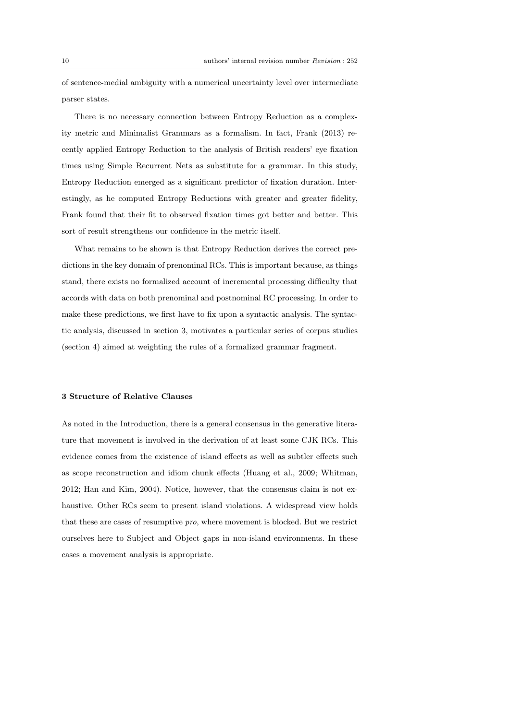of sentence-medial ambiguity with a numerical uncertainty level over intermediate parser states.

There is no necessary connection between Entropy Reduction as a complexity metric and Minimalist Grammars as a formalism. In fact, Frank (2013) recently applied Entropy Reduction to the analysis of British readers' eye fixation times using Simple Recurrent Nets as substitute for a grammar. In this study, Entropy Reduction emerged as a significant predictor of fixation duration. Interestingly, as he computed Entropy Reductions with greater and greater fidelity, Frank found that their fit to observed fixation times got better and better. This sort of result strengthens our confidence in the metric itself.

What remains to be shown is that Entropy Reduction derives the correct predictions in the key domain of prenominal RCs. This is important because, as things stand, there exists no formalized account of incremental processing difficulty that accords with data on both prenominal and postnominal RC processing. In order to make these predictions, we first have to fix upon a syntactic analysis. The syntactic analysis, discussed in section 3, motivates a particular series of corpus studies (section 4) aimed at weighting the rules of a formalized grammar fragment.

#### 3 Structure of Relative Clauses

As noted in the Introduction, there is a general consensus in the generative literature that movement is involved in the derivation of at least some CJK RCs. This evidence comes from the existence of island effects as well as subtler effects such as scope reconstruction and idiom chunk effects (Huang et al., 2009; Whitman, 2012; Han and Kim, 2004). Notice, however, that the consensus claim is not exhaustive. Other RCs seem to present island violations. A widespread view holds that these are cases of resumptive pro, where movement is blocked. But we restrict ourselves here to Subject and Object gaps in non-island environments. In these cases a movement analysis is appropriate.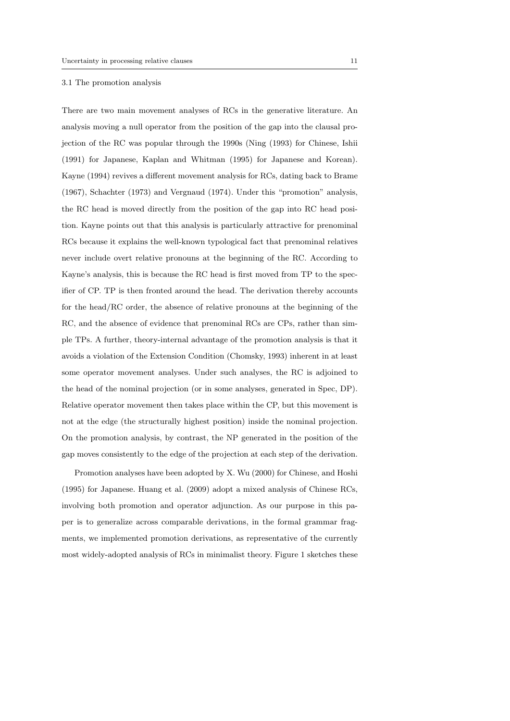#### 3.1 The promotion analysis

There are two main movement analyses of RCs in the generative literature. An analysis moving a null operator from the position of the gap into the clausal projection of the RC was popular through the 1990s (Ning (1993) for Chinese, Ishii (1991) for Japanese, Kaplan and Whitman (1995) for Japanese and Korean). Kayne (1994) revives a different movement analysis for RCs, dating back to Brame (1967), Schachter (1973) and Vergnaud (1974). Under this "promotion" analysis, the RC head is moved directly from the position of the gap into RC head position. Kayne points out that this analysis is particularly attractive for prenominal RCs because it explains the well-known typological fact that prenominal relatives never include overt relative pronouns at the beginning of the RC. According to Kayne's analysis, this is because the RC head is first moved from TP to the specifier of CP. TP is then fronted around the head. The derivation thereby accounts for the head/RC order, the absence of relative pronouns at the beginning of the RC, and the absence of evidence that prenominal RCs are CPs, rather than simple TPs. A further, theory-internal advantage of the promotion analysis is that it avoids a violation of the Extension Condition (Chomsky, 1993) inherent in at least some operator movement analyses. Under such analyses, the RC is adjoined to the head of the nominal projection (or in some analyses, generated in Spec, DP). Relative operator movement then takes place within the CP, but this movement is not at the edge (the structurally highest position) inside the nominal projection. On the promotion analysis, by contrast, the NP generated in the position of the gap moves consistently to the edge of the projection at each step of the derivation.

Promotion analyses have been adopted by X. Wu (2000) for Chinese, and Hoshi (1995) for Japanese. Huang et al. (2009) adopt a mixed analysis of Chinese RCs, involving both promotion and operator adjunction. As our purpose in this paper is to generalize across comparable derivations, in the formal grammar fragments, we implemented promotion derivations, as representative of the currently most widely-adopted analysis of RCs in minimalist theory. Figure 1 sketches these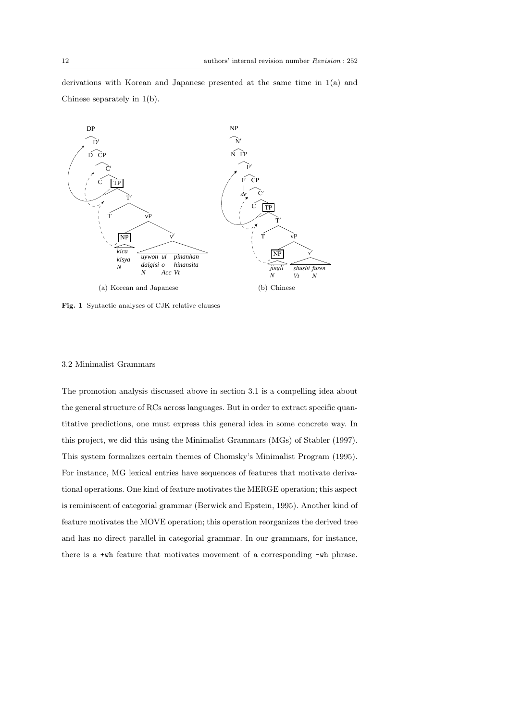derivations with Korean and Japanese presented at the same time in 1(a) and Chinese separately in  $1(b)$ .



Fig. 1 Syntactic analyses of CJK relative clauses

#### 3.2 Minimalist Grammars

feature motivates the MOVE operation; this operation reorganizes the derived tree The promotion analysis discussed above in section 3.1 is a compelling idea about the general structure of RCs across languages. But in order to extract specific quantitative predictions, one must express this general idea in some concrete way. In this project, we did this using the Minimalist Grammars (MGs) of Stabler (1997). This system formalizes certain themes of Chomsky's Minimalist Program (1995). For instance, MG lexical entries have sequences of features that motivate derivational operations. One kind of feature motivates the MERGE operation; this aspect is reminiscent of categorial grammar (Berwick and Epstein, 1995). Another kind of and has no direct parallel in categorial grammar. In our grammars, for instance, there is a +wh feature that motivates movement of a corresponding -wh phrase.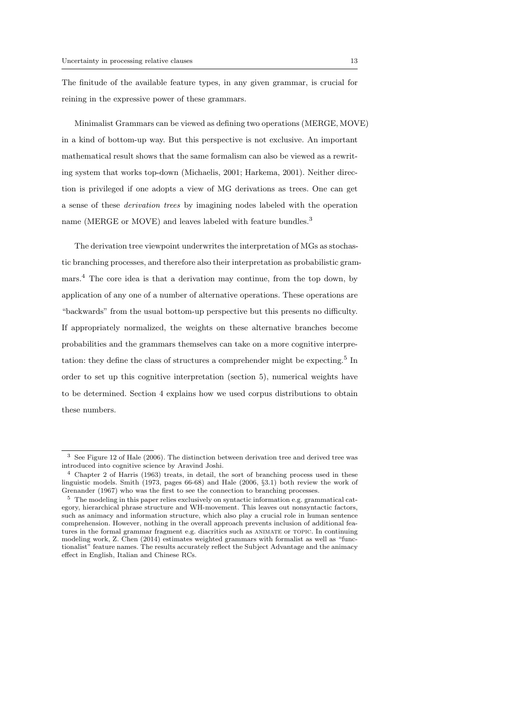The finitude of the available feature types, in any given grammar, is crucial for reining in the expressive power of these grammars.

Minimalist Grammars can be viewed as defining two operations (MERGE, MOVE) in a kind of bottom-up way. But this perspective is not exclusive. An important mathematical result shows that the same formalism can also be viewed as a rewriting system that works top-down (Michaelis, 2001; Harkema, 2001). Neither direction is privileged if one adopts a view of MG derivations as trees. One can get a sense of these derivation trees by imagining nodes labeled with the operation name (MERGE or MOVE) and leaves labeled with feature bundles.<sup>3</sup>

The derivation tree viewpoint underwrites the interpretation of MGs as stochastic branching processes, and therefore also their interpretation as probabilistic grammars.<sup>4</sup> The core idea is that a derivation may continue, from the top down, by application of any one of a number of alternative operations. These operations are "backwards" from the usual bottom-up perspective but this presents no difficulty. If appropriately normalized, the weights on these alternative branches become probabilities and the grammars themselves can take on a more cognitive interpretation: they define the class of structures a comprehender might be expecting.<sup>5</sup> In order to set up this cognitive interpretation (section 5), numerical weights have to be determined. Section 4 explains how we used corpus distributions to obtain these numbers.

<sup>3</sup> See Figure 12 of Hale (2006). The distinction between derivation tree and derived tree was introduced into cognitive science by Aravind Joshi.

<sup>4</sup> Chapter 2 of Harris (1963) treats, in detail, the sort of branching process used in these linguistic models. Smith (1973, pages 66-68) and Hale (2006, §3.1) both review the work of Grenander (1967) who was the first to see the connection to branching processes.

<sup>5</sup> The modeling in this paper relies exclusively on syntactic information e.g. grammatical category, hierarchical phrase structure and WH-movement. This leaves out nonsyntactic factors, such as animacy and information structure, which also play a crucial role in human sentence comprehension. However, nothing in the overall approach prevents inclusion of additional features in the formal grammar fragment e.g. diacritics such as animate or topic. In continuing modeling work, Z. Chen (2014) estimates weighted grammars with formalist as well as "functionalist" feature names. The results accurately reflect the Subject Advantage and the animacy effect in English, Italian and Chinese RCs.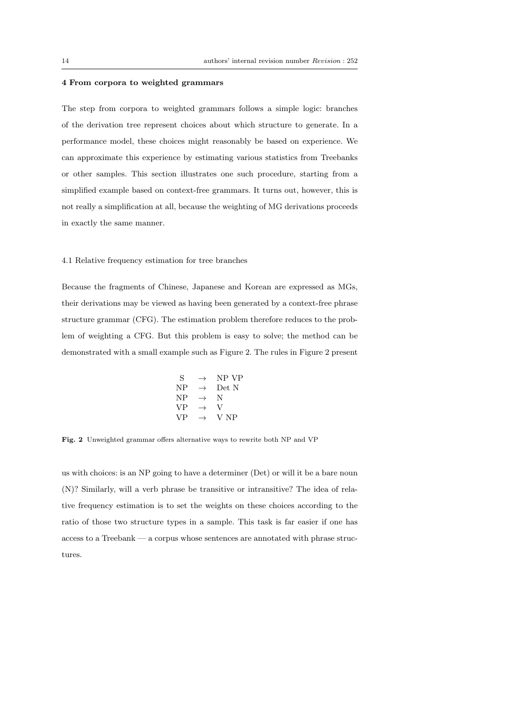#### 4 From corpora to weighted grammars

The step from corpora to weighted grammars follows a simple logic: branches of the derivation tree represent choices about which structure to generate. In a performance model, these choices might reasonably be based on experience. We can approximate this experience by estimating various statistics from Treebanks or other samples. This section illustrates one such procedure, starting from a simplified example based on context-free grammars. It turns out, however, this is not really a simplification at all, because the weighting of MG derivations proceeds in exactly the same manner.

### 4.1 Relative frequency estimation for tree branches

Because the fragments of Chinese, Japanese and Korean are expressed as MGs, their derivations may be viewed as having been generated by a context-free phrase structure grammar (CFG). The estimation problem therefore reduces to the problem of weighting a CFG. But this problem is easy to solve; the method can be demonstrated with a small example such as Figure 2. The rules in Figure 2 present

$$
\begin{array}{ccc}\nS & \rightarrow & NP \ VP \\
NP & \rightarrow & Det \ N \\
VP & \rightarrow & N \\
VP & \rightarrow & V \\
VP & \rightarrow & V \ NP\n\end{array}
$$

Fig. 2 Unweighted grammar offers alternative ways to rewrite both NP and VP

us with choices: is an NP going to have a determiner (Det) or will it be a bare noun (N)? Similarly, will a verb phrase be transitive or intransitive? The idea of relative frequency estimation is to set the weights on these choices according to the ratio of those two structure types in a sample. This task is far easier if one has access to a Treebank — a corpus whose sentences are annotated with phrase structures.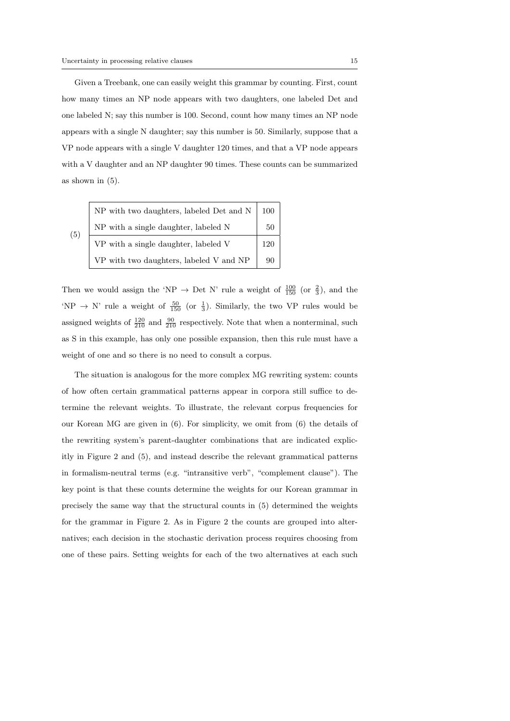Given a Treebank, one can easily weight this grammar by counting. First, count how many times an NP node appears with two daughters, one labeled Det and one labeled N; say this number is 100. Second, count how many times an NP node appears with a single N daughter; say this number is 50. Similarly, suppose that a VP node appears with a single V daughter 120 times, and that a VP node appears with a V daughter and an NP daughter 90 times. These counts can be summarized as shown in (5).

|     | NP with two daughters, labeled Det and N | 100 |
|-----|------------------------------------------|-----|
| (5) | NP with a single daughter, labeled N     | 50  |
|     | VP with a single daughter, labeled V     | 120 |
|     | VP with two daughters, labeled V and NP  | 90  |

Then we would assign the 'NP  $\rightarrow$  Det N' rule a weight of  $\frac{100}{150}$  (or  $\frac{2}{3}$ ), and the 'NP  $\rightarrow$  N' rule a weight of  $\frac{50}{150}$  (or  $\frac{1}{3}$ ). Similarly, the two VP rules would be assigned weights of  $\frac{120}{210}$  and  $\frac{90}{210}$  respectively. Note that when a nonterminal, such as S in this example, has only one possible expansion, then this rule must have a weight of one and so there is no need to consult a corpus.

The situation is analogous for the more complex MG rewriting system: counts of how often certain grammatical patterns appear in corpora still suffice to determine the relevant weights. To illustrate, the relevant corpus frequencies for our Korean MG are given in (6). For simplicity, we omit from (6) the details of the rewriting system's parent-daughter combinations that are indicated explicitly in Figure 2 and (5), and instead describe the relevant grammatical patterns in formalism-neutral terms (e.g. "intransitive verb", "complement clause"). The key point is that these counts determine the weights for our Korean grammar in precisely the same way that the structural counts in (5) determined the weights for the grammar in Figure 2. As in Figure 2 the counts are grouped into alternatives; each decision in the stochastic derivation process requires choosing from one of these pairs. Setting weights for each of the two alternatives at each such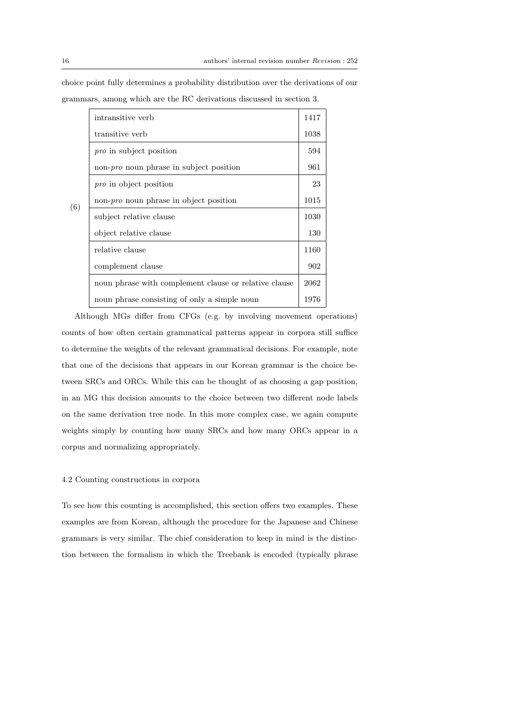|     | intransitive verb                                     | 1417 |
|-----|-------------------------------------------------------|------|
|     | transitive verb                                       | 1038 |
|     | pro in subject position                               | 594  |
|     | non- <i>pro</i> noun phrase in subject position       | 961  |
|     | <i>pro</i> in object position                         | 23   |
| (6) | non- <i>pro</i> noun phrase in object position        |      |
|     | subject relative clause                               | 1030 |
|     | object relative clause                                | 130  |
|     | relative clause                                       | 1160 |
|     | complement clause                                     | 902  |
|     | noun phrase with complement clause or relative clause | 2062 |
|     | noun phrase consisting of only a simple noun          | 1976 |

choice point fully determines a probability distribution over the derivations of our grammars, among which are the RC derivations discussed in section 3.

Although MGs differ from CFGs (e.g. by involving movement operations) counts of how often certain grammatical patterns appear in corpora still suffice to determine the weights of the relevant grammatical decisions. For example, note that one of the decisions that appears in our Korean grammar is the choice between SRCs and ORCs. While this can be thought of as choosing a gap position, in an MG this decision amounts to the choice between two different node labels on the same derivation tree node. In this more complex case, we again compute weights simply by counting how many SRCs and how many ORCs appear in a corpus and normalizing appropriately.

#### 4.2 Counting constructions in corpora

To see how this counting is accomplished, this section offers two examples. These examples are from Korean, although the procedure for the Japanese and Chinese grammars is very similar. The chief consideration to keep in mind is the distinction between the formalism in which the Treebank is encoded (typically phrase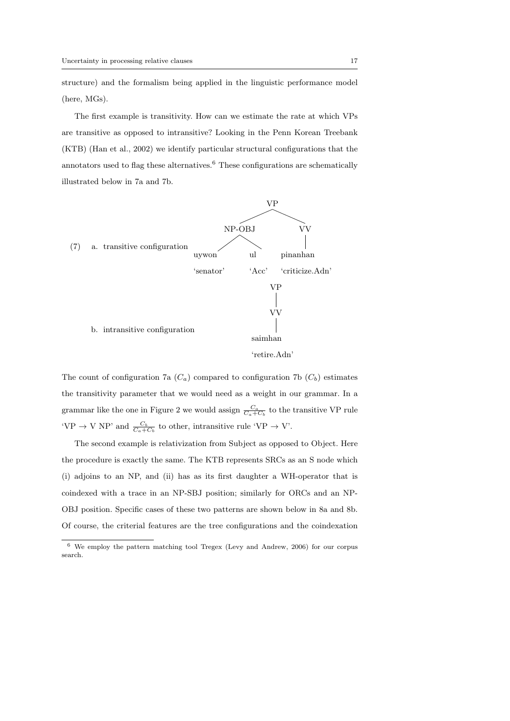structure) and the formalism being applied in the linguistic performance model (here, MGs).

The first example is transitivity. How can we estimate the rate at which VPs are transitive as opposed to intransitive? Looking in the Penn Korean Treebank (KTB) (Han et al., 2002) we identify particular structural configurations that the annotators used to flag these alternatives.<sup>6</sup> These configurations are schematically illustrated below in 7a and 7b.



The count of configuration 7a  $(C_a)$  compared to configuration 7b  $(C_b)$  estimates the transitivity parameter that we would need as a weight in our grammar. In a grammar like the one in Figure 2 we would assign  $\frac{C_a}{C_a + C_b}$  to the transitive VP rule 'VP  $\rightarrow$  V NP' and  $\frac{C_b}{C_a+C_b}$  to other, intransitive rule 'VP  $\rightarrow$  V'.

The second example is relativization from Subject as opposed to Object. Here the procedure is exactly the same. The KTB represents SRCs as an S node which (i) adjoins to an NP, and (ii) has as its first daughter a WH-operator that is coindexed with a trace in an NP-SBJ position; similarly for ORCs and an NP-OBJ position. Specific cases of these two patterns are shown below in 8a and 8b. Of course, the criterial features are the tree configurations and the coindexation

<sup>6</sup> We employ the pattern matching tool Tregex (Levy and Andrew, 2006) for our corpus search.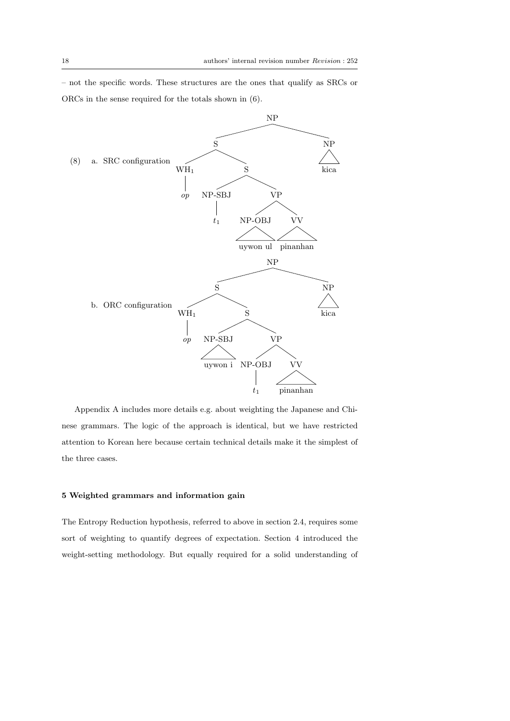– not the specific words. These structures are the ones that qualify as SRCs or ORCs in the sense required for the totals shown in (6).



Appendix A includes more details e.g. about weighting the Japanese and Chinese grammars. The logic of the approach is identical, but we have restricted attention to Korean here because certain technical details make it the simplest of the three cases.

## 5 Weighted grammars and information gain

The Entropy Reduction hypothesis, referred to above in section 2.4, requires some sort of weighting to quantify degrees of expectation. Section 4 introduced the weight-setting methodology. But equally required for a solid understanding of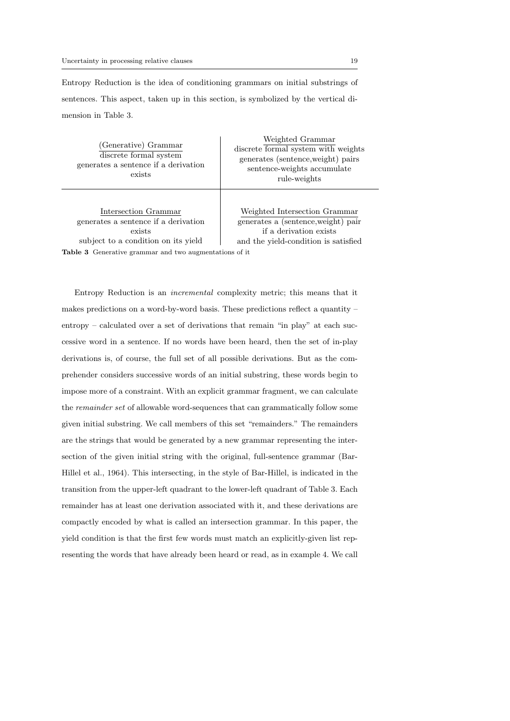Entropy Reduction is the idea of conditioning grammars on initial substrings of sentences. This aspect, taken up in this section, is symbolized by the vertical dimension in Table 3.

(Generative) Grammar discrete formal system generates a sentence if a derivation exists

Weighted Grammar discrete formal system with weights generates (sentence,weight) pairs sentence-weights accumulate rule-weights

Intersection Grammar generates a sentence if a derivation exists subject to a condition on its yield

Weighted Intersection Grammar generates a (sentence,weight) pair if a derivation exists and the yield-condition is satisfied

Table 3 Generative grammar and two augmentations of it

Entropy Reduction is an incremental complexity metric; this means that it makes predictions on a word-by-word basis. These predictions reflect a quantity – entropy – calculated over a set of derivations that remain "in play" at each successive word in a sentence. If no words have been heard, then the set of in-play derivations is, of course, the full set of all possible derivations. But as the comprehender considers successive words of an initial substring, these words begin to impose more of a constraint. With an explicit grammar fragment, we can calculate the remainder set of allowable word-sequences that can grammatically follow some given initial substring. We call members of this set "remainders." The remainders are the strings that would be generated by a new grammar representing the intersection of the given initial string with the original, full-sentence grammar (Bar-Hillel et al., 1964). This intersecting, in the style of Bar-Hillel, is indicated in the transition from the upper-left quadrant to the lower-left quadrant of Table 3. Each remainder has at least one derivation associated with it, and these derivations are compactly encoded by what is called an intersection grammar. In this paper, the yield condition is that the first few words must match an explicitly-given list representing the words that have already been heard or read, as in example 4. We call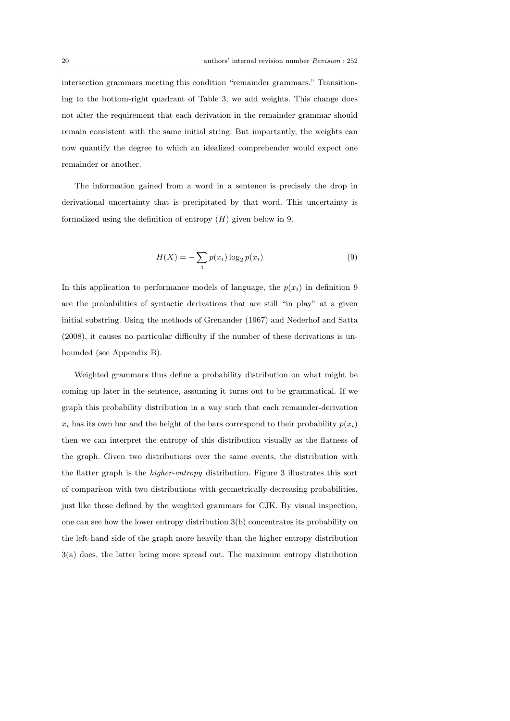intersection grammars meeting this condition "remainder grammars." Transitioning to the bottom-right quadrant of Table 3, we add weights. This change does not alter the requirement that each derivation in the remainder grammar should remain consistent with the same initial string. But importantly, the weights can now quantify the degree to which an idealized comprehender would expect one remainder or another.

The information gained from a word in a sentence is precisely the drop in derivational uncertainty that is precipitated by that word. This uncertainty is formalized using the definition of entropy  $(H)$  given below in 9.

$$
H(X) = -\sum_{i} p(x_i) \log_2 p(x_i)
$$
\n(9)

In this application to performance models of language, the  $p(x_i)$  in definition 9 are the probabilities of syntactic derivations that are still "in play" at a given initial substring. Using the methods of Grenander (1967) and Nederhof and Satta (2008), it causes no particular difficulty if the number of these derivations is unbounded (see Appendix B).

Weighted grammars thus define a probability distribution on what might be coming up later in the sentence, assuming it turns out to be grammatical. If we graph this probability distribution in a way such that each remainder-derivation  $x_i$  has its own bar and the height of the bars correspond to their probability  $p(x_i)$ then we can interpret the entropy of this distribution visually as the flatness of the graph. Given two distributions over the same events, the distribution with the flatter graph is the higher-entropy distribution. Figure 3 illustrates this sort of comparison with two distributions with geometrically-decreasing probabilities, just like those defined by the weighted grammars for CJK. By visual inspection, one can see how the lower entropy distribution 3(b) concentrates its probability on the left-hand side of the graph more heavily than the higher entropy distribution 3(a) does, the latter being more spread out. The maximum entropy distribution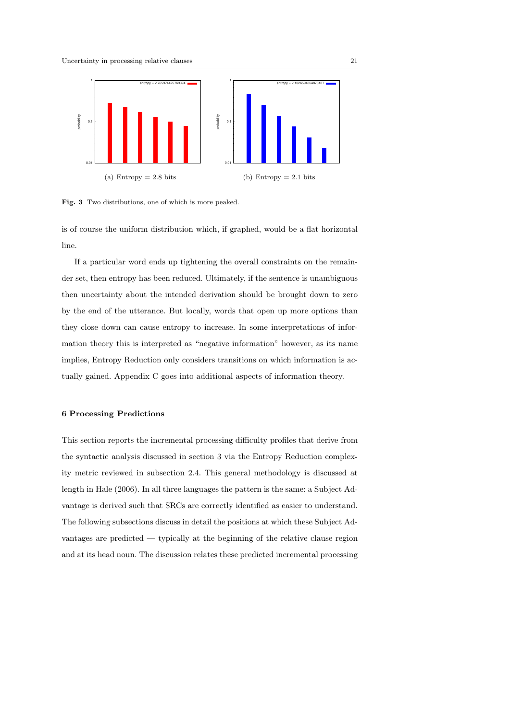

Fig. 3 Two distributions, one of which is more peaked.

is of course the uniform distribution which, if graphed, would be a flat horizontal line.

If a particular word ends up tightening the overall constraints on the remainder set, then entropy has been reduced. Ultimately, if the sentence is unambiguous then uncertainty about the intended derivation should be brought down to zero by the end of the utterance. But locally, words that open up more options than they close down can cause entropy to increase. In some interpretations of information theory this is interpreted as "negative information" however, as its name implies, Entropy Reduction only considers transitions on which information is actually gained. Appendix C goes into additional aspects of information theory.

### 6 Processing Predictions

This section reports the incremental processing difficulty profiles that derive from the syntactic analysis discussed in section 3 via the Entropy Reduction complexity metric reviewed in subsection 2.4. This general methodology is discussed at length in Hale (2006). In all three languages the pattern is the same: a Subject Advantage is derived such that SRCs are correctly identified as easier to understand. The following subsections discuss in detail the positions at which these Subject Advantages are predicted — typically at the beginning of the relative clause region and at its head noun. The discussion relates these predicted incremental processing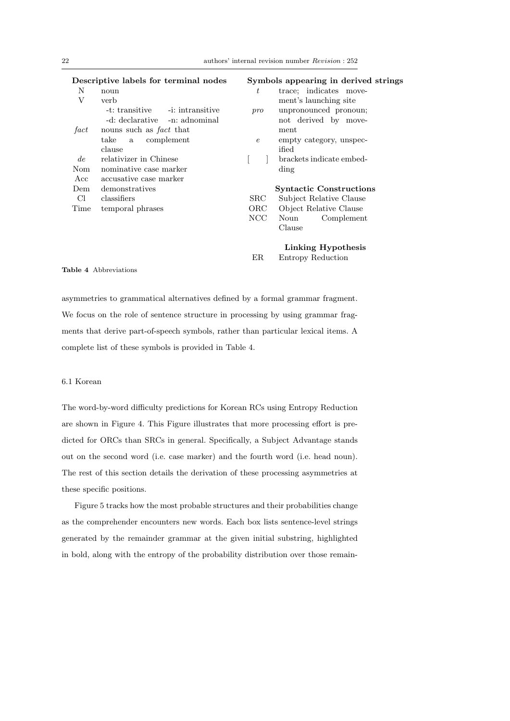|      | Descriptive labels for terminal nodes       |            | Symbols appearing in derived strings |
|------|---------------------------------------------|------------|--------------------------------------|
| N    | noun                                        | $t\,$      | trace; indicates move-               |
| V    | verb                                        |            | ment's launching site                |
|      | -i: intransitive<br>-t: transitive          | pro        | unpronounced pronoun;                |
|      | -d: declarative -n: adnominal               |            | not derived by move-                 |
| fact | nouns such as <i>fact</i> that              |            | ment                                 |
|      | $_{\rm take}$<br>complement<br>$\mathbf{a}$ | $\epsilon$ | empty category, unspec-              |
|      | clause                                      |            | ified                                |
| de   | relativizer in Chinese                      |            | brackets indicate embed-             |
| Nom  | nominative case marker                      |            | ding                                 |
| Acc  | accusative case marker                      |            |                                      |
| Dem  | demonstratives                              |            | <b>Syntactic Constructions</b>       |
| Сl   | classifiers                                 | <b>SRC</b> | Subject Relative Clause              |
| Time | temporal phrases                            | ORC        | Object Relative Clause               |
|      |                                             | <b>NCC</b> | Noun<br>Complement                   |
|      |                                             |            | Clause                               |
|      |                                             |            | Linking Hypothesis                   |

ER Entropy Reduction

## Table 4 Abbreviations

asymmetries to grammatical alternatives defined by a formal grammar fragment. We focus on the role of sentence structure in processing by using grammar fragments that derive part-of-speech symbols, rather than particular lexical items. A complete list of these symbols is provided in Table 4.

### 6.1 Korean

The word-by-word difficulty predictions for Korean RCs using Entropy Reduction are shown in Figure 4. This Figure illustrates that more processing effort is predicted for ORCs than SRCs in general. Specifically, a Subject Advantage stands out on the second word (i.e. case marker) and the fourth word (i.e. head noun). The rest of this section details the derivation of these processing asymmetries at these specific positions.

Figure 5 tracks how the most probable structures and their probabilities change as the comprehender encounters new words. Each box lists sentence-level strings generated by the remainder grammar at the given initial substring, highlighted in bold, along with the entropy of the probability distribution over those remain-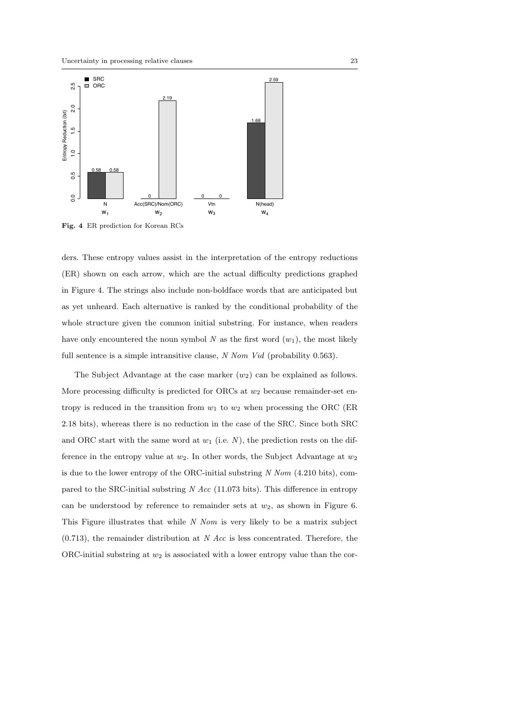

Fig. 4 ER prediction for Korean RCs

ders. These entropy values assist in the interpretation of the entropy reductions (ER) shown on each arrow, which are the actual difficulty predictions graphed in Figure 4. The strings also include non-boldface words that are anticipated but as yet unheard. Each alternative is ranked by the conditional probability of the whole structure given the common initial substring. For instance, when readers have only encountered the noun symbol  $N$  as the first word  $(w_1)$ , the most likely full sentence is a simple intransitive clause, N Nom Vid (probability 0.563).

The Subject Advantage at the case marker  $(w_2)$  can be explained as follows. More processing difficulty is predicted for ORCs at  $w_2$  because remainder-set entropy is reduced in the transition from  $w_1$  to  $w_2$  when processing the ORC (ER 2.18 bits), whereas there is no reduction in the case of the SRC. Since both SRC and ORC start with the same word at  $w_1$  (i.e. N), the prediction rests on the difference in the entropy value at  $w_2$ . In other words, the Subject Advantage at  $w_2$ is due to the lower entropy of the ORC-initial substring  $N \text{ N}om (4.210 \text{ bits})$ , compared to the SRC-initial substring  $N$  Acc (11.073 bits). This difference in entropy can be understood by reference to remainder sets at  $w_2$ , as shown in Figure 6. This Figure illustrates that while  $N$  Nom is very likely to be a matrix subject  $(0.713)$ , the remainder distribution at N Acc is less concentrated. Therefore, the ORC-initial substring at  $w_2$  is associated with a lower entropy value than the cor-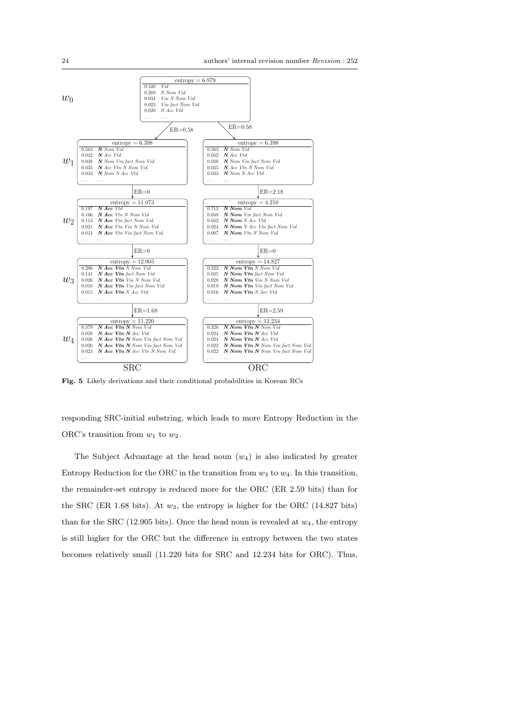

Fig. 5 Likely derivations and their conditional probabilities in Korean RCs

responding SRC-initial substring, which leads to more Entropy Reduction in the ORC's transition from  $w_1$  to  $w_2$ .

The Subject Advantage at the head noun  $(w_4)$  is also indicated by greater Entropy Reduction for the ORC in the transition from  $w_3$  to  $w_4$ . In this transition, the remainder-set entropy is reduced more for the ORC (ER 2.59 bits) than for the SRC (ER 1.68 bits). At  $w_3$ , the entropy is higher for the ORC (14.827 bits) than for the SRC (12.905 bits). Once the head noun is revealed at  $w_4$ , the entropy is still higher for the ORC but the difference in entropy between the two states becomes relatively small (11.220 bits for SRC and 12.234 bits for ORC). Thus,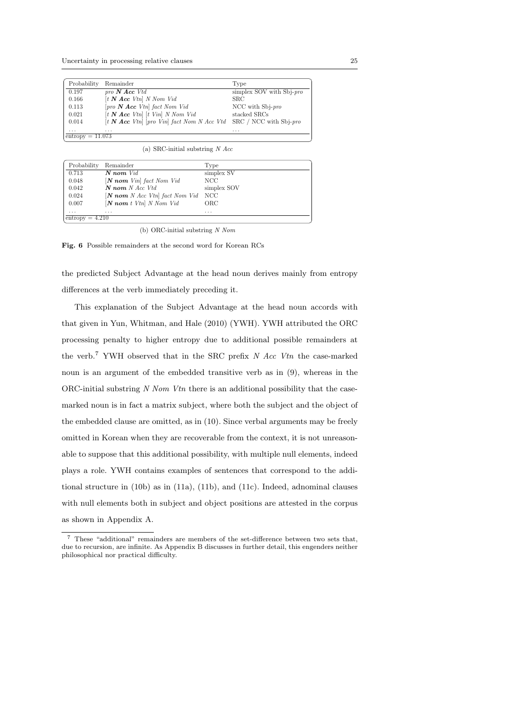| Probability        | Remainder                                                                             | Type                        |
|--------------------|---------------------------------------------------------------------------------------|-----------------------------|
| 0.197              | pro $N$ Acc Vtd                                                                       | simplex SOV with $Sbj$ -pro |
| 0.166              | $[t \mathbf{N} \text{ Acc } Vtn] \text{ } N \text{ } Nom \text{ } Vid$                | SRC.                        |
| 0.113              | $[pro\ N \text{ Acc } Vtn]$ fact Nom Vid                                              | NCC with $Sbj$ -pro         |
| 0.021              | $[t \mathbf{N} \text{ Acc } Vtn]$ $[t \text{ Vin} \text{ N} \text{ Nom } Vid]$        | stacked SRCs                |
| 0.014              | $[t \mathbf{N} \text{ Acc } Vtn]$ [pro Vin] fact Nom N Acc Vtd SRC / NCC with Sbj-pro |                             |
| $\cdots$           | $\cdots$                                                                              | $\cdots$                    |
| $entropy = 11.073$ |                                                                                       |                             |

(a) SRC-initial substring  $N$  Acc

| Probability       | Remainder                                          | Type        |
|-------------------|----------------------------------------------------|-------------|
| 0.713             | $N$ nom $Vid$                                      | simplex SV  |
| 0.048             | $[N \text{ nom } Vin]$ fact Nom Vid                | NCC         |
| 0.042             | $N$ nom N Acc Vtd                                  | simplex SOV |
| 0.024             | $[N \text{ nom } N \text{ Acc } Vtn]$ fact Nom Vid | NCC         |
| 0.007             | $[N \text{ nom } t \text{ Vtn}]$ N Nom Vid         | ORC         |
| $\cdots$          | $\cdots$                                           | $\cdots$    |
| $entropy = 4.210$ |                                                    |             |

(b) ORC-initial substring N Nom

Fig. 6 Possible remainders at the second word for Korean RCs

the predicted Subject Advantage at the head noun derives mainly from entropy differences at the verb immediately preceding it.

This explanation of the Subject Advantage at the head noun accords with that given in Yun, Whitman, and Hale (2010) (YWH). YWH attributed the ORC processing penalty to higher entropy due to additional possible remainders at the verb.<sup>7</sup> YWH observed that in the SRC prefix  $N$  Acc Vtn the case-marked noun is an argument of the embedded transitive verb as in (9), whereas in the ORC-initial substring  $N$  Nom Vtn there is an additional possibility that the casemarked noun is in fact a matrix subject, where both the subject and the object of the embedded clause are omitted, as in (10). Since verbal arguments may be freely omitted in Korean when they are recoverable from the context, it is not unreasonable to suppose that this additional possibility, with multiple null elements, indeed plays a role. YWH contains examples of sentences that correspond to the additional structure in (10b) as in (11a), (11b), and (11c). Indeed, adnominal clauses with null elements both in subject and object positions are attested in the corpus as shown in Appendix A.

<sup>7</sup> These "additional" remainders are members of the set-difference between two sets that, due to recursion, are infinite. As Appendix B discusses in further detail, this engenders neither philosophical nor practical difficulty.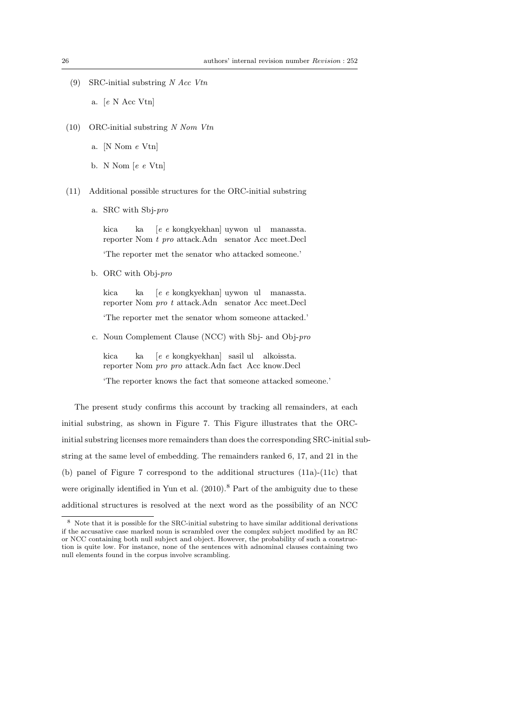(9) SRC-initial substring  $N$  Acc Vtn

a. [e N Acc Vtn]

- (10) ORC-initial substring  $N$  Nom Vtn
	- a. [N Nom e Vtn]
	- b. N Nom [e e Vtn]
- (11) Additional possible structures for the ORC-initial substring
	- a. SRC with Sbj-pro

kica reporter Nom t pro attack.Adn senator Acc meet.Decl ka [e e kongkyekhan] uywon ul manassta. 'The reporter met the senator who attacked someone.'

b. ORC with Obj-pro

kica reporter Nom *pro t* attack.Adn senator Acc meet.Decl ka [e e kongkyekhan] uywon ul manassta. 'The reporter met the senator whom someone attacked.'

c. Noun Complement Clause (NCC) with Sbj- and Obj-pro

kica reporter Nom *pro pro* attack.Adn fact Acc know.Decl ka [e e kongkyekhan] sasil ul alkoissta.

'The reporter knows the fact that someone attacked someone.'

The present study confirms this account by tracking all remainders, at each initial substring, as shown in Figure 7. This Figure illustrates that the ORCinitial substring licenses more remainders than does the corresponding SRC-initial substring at the same level of embedding. The remainders ranked 6, 17, and 21 in the (b) panel of Figure 7 correspond to the additional structures (11a)-(11c) that were originally identified in Yun et al.  $(2010)$ .<sup>8</sup> Part of the ambiguity due to these additional structures is resolved at the next word as the possibility of an NCC

<sup>8</sup> Note that it is possible for the SRC-initial substring to have similar additional derivations if the accusative case marked noun is scrambled over the complex subject modified by an RC or NCC containing both null subject and object. However, the probability of such a construction is quite low. For instance, none of the sentences with adnominal clauses containing two null elements found in the corpus involve scrambling.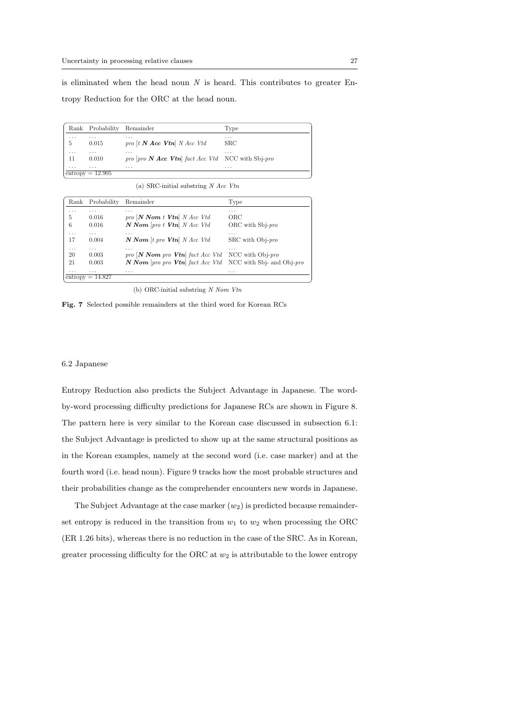is eliminated when the head noun  $N$  is heard. This contributes to greater Entropy Reduction for the ORC at the head noun.

|          | Rank Probability        | Remainder                                                        | Type         |
|----------|-------------------------|------------------------------------------------------------------|--------------|
| .        | .                       | $\cdots$                                                         | $\cdots$     |
| 5        | 0.015                   | pro $[t \mathbf{N} \text{ Acc } \mathbf{V} \text{tn}]$ N Acc Vtd | $_{\rm SRC}$ |
| $\cdots$ | .                       | $\cdots$                                                         | $\cdots$     |
| 11       | 0.010                   | pro $[pro \; N \; Acc \; Vtn]$ fact Acc Vtd NCC with Sbj-pro     |              |
| $\cdots$ | .<br>$entropy = 12.905$ | $\cdots$                                                         | .            |

(a) SRC-initial substring  $N$  Acc Vtn

| Rank     | Probability        | Remainder                               | Type                         |
|----------|--------------------|-----------------------------------------|------------------------------|
| .        | $\cdots$           | $\cdots$                                | $\cdots$                     |
| 5        | 0.016              | $\text{pro}$ [N Nom t Vtn] N Acc Vtd    | ORC                          |
| 6        | 0.016              | $N Nom$ [pro t <b>Vtn</b> ] $N Acc Vtd$ | ORC with $Sb$ <i>i-pro</i>   |
| .        | .                  | .                                       | .                            |
| 17       | 0.004              | $N Nom$ [t pro $Vtn$ ] N Acc Vtd        | SRC with Obj-pro             |
| $\cdots$ | .                  | $\cdots$                                | .                            |
| 20       | 0.003              | pro $[N Nom$ pro $Vtn]$ fact Acc Vtd    | NCC with Obj-pro             |
| 21       | 0.003              | $N$ Nom [pro pro $Vtn$ ] fact Acc Vtd   | NCC with Sbj- and Obj- $pro$ |
| .        | .                  | .                                       | .                            |
|          | $entropy = 14.827$ |                                         |                              |

(b) ORC-initial substring N Nom Vtn

Fig. 7 Selected possible remainders at the third word for Korean RCs

### 6.2 Japanese

Entropy Reduction also predicts the Subject Advantage in Japanese. The wordby-word processing difficulty predictions for Japanese RCs are shown in Figure 8. The pattern here is very similar to the Korean case discussed in subsection 6.1: the Subject Advantage is predicted to show up at the same structural positions as in the Korean examples, namely at the second word (i.e. case marker) and at the fourth word (i.e. head noun). Figure 9 tracks how the most probable structures and their probabilities change as the comprehender encounters new words in Japanese.

The Subject Advantage at the case marker  $(w_2)$  is predicted because remainderset entropy is reduced in the transition from  $w_1$  to  $w_2$  when processing the ORC (ER 1.26 bits), whereas there is no reduction in the case of the SRC. As in Korean, greater processing difficulty for the ORC at  $w_2$  is attributable to the lower entropy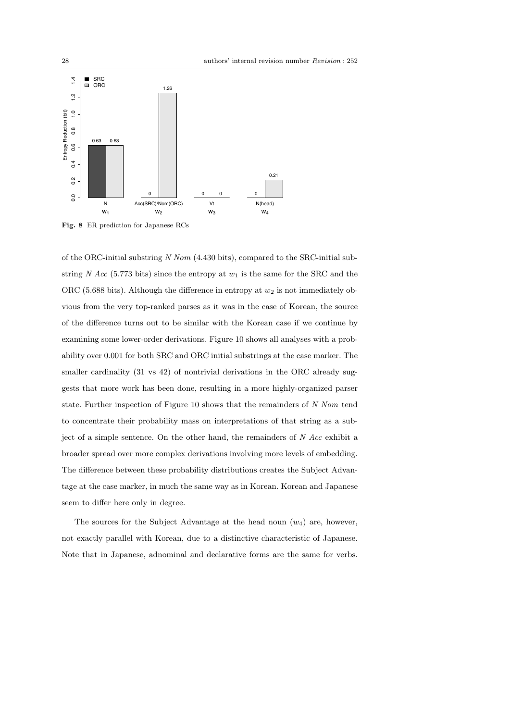

Fig. 8 ER prediction for Japanese RCs

of the ORC-initial substring N Nom (4.430 bits), compared to the SRC-initial substring N Acc (5.773 bits) since the entropy at  $w_1$  is the same for the SRC and the ORC (5.688 bits). Although the difference in entropy at  $w_2$  is not immediately obvious from the very top-ranked parses as it was in the case of Korean, the source of the difference turns out to be similar with the Korean case if we continue by examining some lower-order derivations. Figure 10 shows all analyses with a probability over 0.001 for both SRC and ORC initial substrings at the case marker. The smaller cardinality (31 vs 42) of nontrivial derivations in the ORC already suggests that more work has been done, resulting in a more highly-organized parser state. Further inspection of Figure 10 shows that the remainders of N Nom tend to concentrate their probability mass on interpretations of that string as a subject of a simple sentence. On the other hand, the remainders of  $N$  Acc exhibit a broader spread over more complex derivations involving more levels of embedding. The difference between these probability distributions creates the Subject Advantage at the case marker, in much the same way as in Korean. Korean and Japanese seem to differ here only in degree.

The sources for the Subject Advantage at the head noun  $(w_4)$  are, however, not exactly parallel with Korean, due to a distinctive characteristic of Japanese. Note that in Japanese, adnominal and declarative forms are the same for verbs.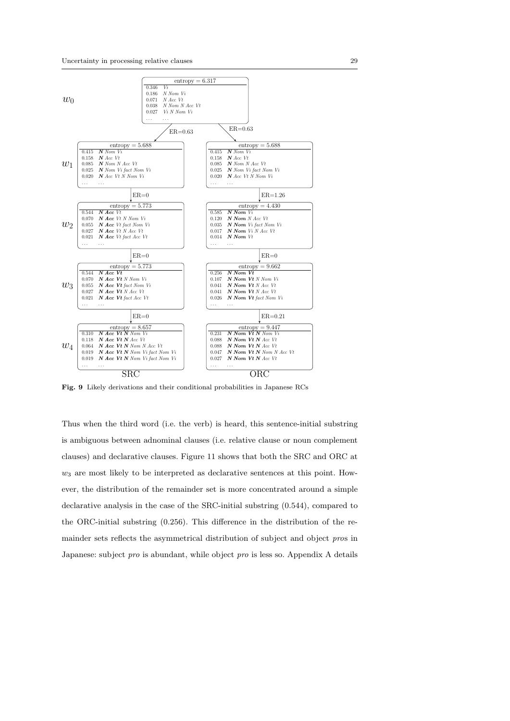

Fig. 9 Likely derivations and their conditional probabilities in Japanese RCs

Thus when the third word (i.e. the verb) is heard, this sentence-initial substring is ambiguous between adnominal clauses (i.e. relative clause or noun complement clauses) and declarative clauses. Figure 11 shows that both the SRC and ORC at  $w_3$  are most likely to be interpreted as declarative sentences at this point. However, the distribution of the remainder set is more concentrated around a simple declarative analysis in the case of the SRC-initial substring (0.544), compared to the ORC-initial substring (0.256). This difference in the distribution of the remainder sets reflects the asymmetrical distribution of subject and object pros in Japanese: subject *pro* is abundant, while object *pro* is less so. Appendix A details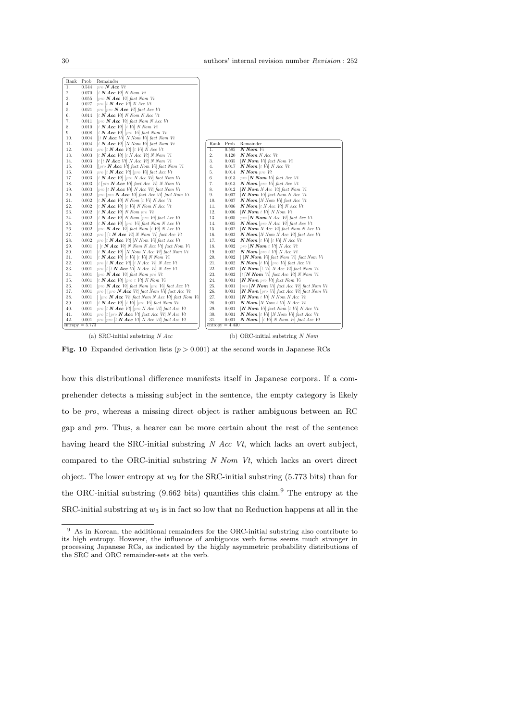| Rank             | Prob              | Remainder                                                                                                            |      |                                     |                                                                                                                                                                                                                                                                                                                                                                                                                                   |
|------------------|-------------------|----------------------------------------------------------------------------------------------------------------------|------|-------------------------------------|-----------------------------------------------------------------------------------------------------------------------------------------------------------------------------------------------------------------------------------------------------------------------------------------------------------------------------------------------------------------------------------------------------------------------------------|
| $\overline{1}$ . | 0.544             | $pro$ <b>N</b> $Acc$ $Vt$                                                                                            |      |                                     |                                                                                                                                                                                                                                                                                                                                                                                                                                   |
| 2.               | 0.070             | $[t \mathbf{N} \text{Acc } Vt] \text{ } N \text{ } N \text{om } Vt$                                                  |      |                                     |                                                                                                                                                                                                                                                                                                                                                                                                                                   |
| 3.               | 0.055             | $[pro N Acc Vt] fact Nom Vi$                                                                                         |      |                                     |                                                                                                                                                                                                                                                                                                                                                                                                                                   |
| 4.               | 0.027             | pro [t $N$ Acc Vt] N Acc Vt                                                                                          |      |                                     |                                                                                                                                                                                                                                                                                                                                                                                                                                   |
| 5.               | 0.021             | pro $[$ pro $N$ <i>Acc</i> $Vt$ <i>fact Acc Vt</i>                                                                   |      |                                     |                                                                                                                                                                                                                                                                                                                                                                                                                                   |
| 6.               | 0.014             | $[t \mathbf{N} \text{ Acc } Vt] \text{ } N \text{ } N \text{om } N \text{ Acc } Vt$                                  |      |                                     |                                                                                                                                                                                                                                                                                                                                                                                                                                   |
| 7.               | 0.011             | $[pro N Acc Vt] fact Nom N Acc Vt$                                                                                   |      |                                     |                                                                                                                                                                                                                                                                                                                                                                                                                                   |
| 8.               | 0.010             | $[t \mathbf{N} \text{ Acc } Vt]$ $[t \text{ Vi} \text{ N} \text{ Nom } Vt]$                                          |      |                                     |                                                                                                                                                                                                                                                                                                                                                                                                                                   |
| 9.               | 0.008             | $[t \mathbf{N} \text{Acc } Vt]$ [pro Vi] fact Nom Vi                                                                 |      |                                     |                                                                                                                                                                                                                                                                                                                                                                                                                                   |
| 10.              | 0.004             | $[$ [t <b>N Acc</b> <i>Vt</i> ] <i>N Nom Vi</i> ] <i>fact Nom Vi</i>                                                 |      |                                     |                                                                                                                                                                                                                                                                                                                                                                                                                                   |
| 11.              | 0.004             | $[t \mathbf{N} \text{ Acc } Vt]$ [N Nom Vi] fact Nom Vi                                                              | Rank | Prob                                | Remainder                                                                                                                                                                                                                                                                                                                                                                                                                         |
| 12.              | 0.004             | pro [t $N$ Acc Vt] [t Vi] N Acc Vt                                                                                   | 1.   | 0.585                               | N Nom Vi                                                                                                                                                                                                                                                                                                                                                                                                                          |
| 13.              | 0.003             | $[t \mathbf{N} \text{ Acc } Vt]$ $[t \text{ N Acc } Vt]$ N Nom Vi                                                    | 2.   | 0.120                               | N Nom N Acc Vt                                                                                                                                                                                                                                                                                                                                                                                                                    |
| 14.              | 0.003             | $ t $ it <b>N</b> Acc Vt N Acc Vt N Nom Vi                                                                           | 3.   | 0.035                               | $ N Nom Vi $ fact Nom Vi                                                                                                                                                                                                                                                                                                                                                                                                          |
| 15.              | 0.003             | $[$ pro <b>N Acc</b> Vt fact Nom Vi fact Nom Vi                                                                      | 4.   | 0.017                               | $N Nom$ [t Vi] N Acc Vt                                                                                                                                                                                                                                                                                                                                                                                                           |
| 16.              | 0.003             | pro [t $N$ Acc Vt] [pro Vi] fact Acc Vt                                                                              | 5.   | 0.014                               | N Nom pro Vt                                                                                                                                                                                                                                                                                                                                                                                                                      |
| 17.              | 0.003             | $[t \mathbf{N} \text{Acc } Vt]$ [pro N Acc Vt] fact Nom Vi                                                           | 6.   | 0.013                               | $pro$ [N Nom Vi] fact Acc Vt                                                                                                                                                                                                                                                                                                                                                                                                      |
| 18.              | 0.003             | $[t]$ pro <b>N Acc</b> Vt fact Acc Vt N Nom Vi                                                                       | 7.   | 0.013                               | $N$ Nom [pro Vi] fact Acc Vt                                                                                                                                                                                                                                                                                                                                                                                                      |
| 19.              | 0.003             | $[pro [t \mathbf{N} Acc \mathbf{V}t] \mathbf{N} Acc \mathbf{V}t]$ fact Nom Vi                                        | 8.   | 0.012                               | $[N Nom N Acc Vt]$ fact Nom Vi                                                                                                                                                                                                                                                                                                                                                                                                    |
| 20.              | 0.002             | $[pro] pro \mathbf{N} Acc \mathbf{V}$ fact Acc $\mathbf{V}$ t fact Nom Vi                                            | 9.   | 0.007                               | $[N Nom V i]$ fact Nom N Acc Vt                                                                                                                                                                                                                                                                                                                                                                                                   |
| 21.              | 0.002             | $[t \mathbf{N} \text{Acc } Vt] \text{ } N \text{ } N \text{om } [t \text{ } Vi] \text{ } N \text{ } Acc \text{ } Vt$ | 10.  | 0.007                               | $N Nom$ [N Nom Vi] fact Acc Vt                                                                                                                                                                                                                                                                                                                                                                                                    |
| 22.              | 0.002             | $[t \mathbf{N} \text{ Acc } Vt]$ $[t \text{ Vi} \text{ N} \text{ Nom } N \text{ Acc } Vt]$                           | 11.  | 0.006                               | $N Nom$ [t N Acc Vt] N Acc Vt                                                                                                                                                                                                                                                                                                                                                                                                     |
| 23.              | 0.002             | $[t \mathbf{N} \text{Acc } Vt] \text{ } N \text{ } N \text{om } pro \text{ } Vt$                                     | 12.  | 0.006                               | [N Nom t Vt] N Nom Vt                                                                                                                                                                                                                                                                                                                                                                                                             |
| 24.              | 0.002             | $[t \mathbf{N} \text{ Acc } Vt] \text{ N} \text{ Nom } [pro \text{ Vi}] \text{ fact } Acc \text{ Vt}$                | 13.  | 0.005                               | pro $[N Nom N Acc Vt]$ fact Acc Vt                                                                                                                                                                                                                                                                                                                                                                                                |
| 25.              | 0.002             | $[t N Acc Vt]$ [pro Vi] fact Nom N Acc Vt                                                                            | 14.  | 0.005                               | $N Nom$ [pro N Acc Vt] fact Acc Vt                                                                                                                                                                                                                                                                                                                                                                                                |
| 26.              | 0.002             | $[pro N Acc Vt] fact Nom [t Vi] \nN Acc Vt$                                                                          | 15.  | 0.002                               | $[N Nom N Acc Vt]$ fact Nom N Acc Vt                                                                                                                                                                                                                                                                                                                                                                                              |
| 27.              | 0.002             | pro    t <b>N</b> Acc Vt  N Nom Vi  fact Acc Vt                                                                      | 16.  | 0.002                               | $N Nom$  N Nom N Acc Vt  fact Acc Vt                                                                                                                                                                                                                                                                                                                                                                                              |
| 28.              | 0.002             | pro [t $N$ Acc Vt] [N Nom Vi] fact Acc Vt                                                                            | 17.  | 0.002                               | $N Nom$ [t Vi] [t Vi] $N Acc$ Vt                                                                                                                                                                                                                                                                                                                                                                                                  |
| 29.              | 0.001             | $[$ [t <b>N</b> Acc Vt] N Nom N Acc Vt] fact Nom Vi                                                                  | 18.  | 0.002                               | pro $[N Nom t Vt] N Acc Vt$                                                                                                                                                                                                                                                                                                                                                                                                       |
| 30.              | 0.001             | t <b>N</b> Acc Vt   N Nom N Acc Vt  fact Nom Vi                                                                      | 19.  | 0.002                               | $N$ Nom  pro t Vt  N Acc Vt                                                                                                                                                                                                                                                                                                                                                                                                       |
| 31.              | 0.001             | $[t \mathbf{N} \text{ Acc } Vt]$ $[t \text{ Vi} \mid t \text{ Vi} \text{ N} \text{ Nom } Vt]$                        | 20.  | 0.002                               | $\left[ \begin{array}{c c} \hline \textbf{[} & \textbf{[} & \textbf{[} & \textbf{[} & \textbf{[} & \textbf{[} & \textbf{[} & \textbf{[} & \textbf{[} & \textbf{[} & \textbf{[} & \textbf{[} & \textbf{[} & \textbf{[} & \textbf{[} & \textbf{[} & \textbf{[} & \textbf{[} & \textbf{[} & \textbf{[} & \textbf{[} & \textbf{[} & \textbf{[} & \textbf{[} & \textbf{[} & \textbf{[} & \textbf{[} & \textbf{[} & \textbf{[} & \text$ |
| 32.              | 0.001             | pro [t $N$ Acc Vt] [t N Acc Vt] N Acc Vt                                                                             | 21.  | 0.002                               | $N Nom$ [t Vi] [pro Vi] fact Acc Vt                                                                                                                                                                                                                                                                                                                                                                                               |
| 33.              | 0.001             | pro  t  t $N$ Acc Vt  N Acc Vt  N Acc Vt                                                                             | 22.  | 0.002                               | $ N Nom $ t Vi N Acc Vt fact Nom Vi                                                                                                                                                                                                                                                                                                                                                                                               |
| 34.              | 0.001             | $[pro N Acc Vt] fact Nom pro Vt$                                                                                     | 23.  | 0.002                               | $[t]$ <b>N Nom</b> Vi fact Acc Vt N Nom Vi                                                                                                                                                                                                                                                                                                                                                                                        |
| 35.              | 0.001             | $[t \mathbf{N} \text{ Acc } Vt]$ [pro t Vt] N Nom Vi                                                                 | 24.  | 0.001                               | $[N Nom$ pro $Vt]$ fact Nom Vi                                                                                                                                                                                                                                                                                                                                                                                                    |
| 36.              | 0.001             | $[pro N Acc Vt] fact Nom [pro Vi] fact Acc Vt$                                                                       | 25.  | 0.001                               | $  pro \rangle$ <b>N Nom</b> Vi fact Acc Vt fact Nom Vi                                                                                                                                                                                                                                                                                                                                                                           |
| 37.              | 0.001             | pro $\lceil$ [pro <b>N</b> Acc Vt] fact Nom Vi] fact Acc Vt                                                          | 26.  | 0.001                               | $[N Nom$ $[pro\ Vi]$ fact Acc Vt fact Nom Vi                                                                                                                                                                                                                                                                                                                                                                                      |
| 38.              | 0.001             | $\left[\right]$ [pro <b>N</b> Acc Vt] fact Nom N Acc Vt] fact Nom Vi                                                 | 27.  | 0.001                               | [N Nom t Vt] N Nom N Acc Vt                                                                                                                                                                                                                                                                                                                                                                                                       |
| 39.              | 0.001             | $[t \mathbf{N} \text{Acc } Vt]$ $[t \text{Vi} \text{[pro } Vt]$ fact Nom Vi                                          | 28.  | 0.001                               | $N Nom$ [N Nom t Vt] N Acc Vt                                                                                                                                                                                                                                                                                                                                                                                                     |
| 40.              | 0.001             | pro [t $N$ Acc Vt] [pro N Acc Vt] fact Acc Vt                                                                        | 29.  | 0.001                               | $[N Nom V i]$ fact Nom $[t V i]$ N Acc Vt                                                                                                                                                                                                                                                                                                                                                                                         |
| 41.              | 0.001             | pro [t [pro $N$ Acc Vt] fact Acc Vt] N Acc Vt                                                                        | 30.  | 0.001                               | $N Nom$ [t Vi] [N Nom Vi] fact Acc Vt                                                                                                                                                                                                                                                                                                                                                                                             |
| 42.              | 0.001             | pro $[pro]$ [t $N$ Acc Vt $N$ Acc Vt fact Acc Vt                                                                     | 31.  | 0.001                               | $N Nom$ [  t Vi] N Nom Vi] fact Acc Vt                                                                                                                                                                                                                                                                                                                                                                                            |
|                  | $entropy = 5.773$ |                                                                                                                      |      | $\overline{\text{entropy}} = 4.430$ |                                                                                                                                                                                                                                                                                                                                                                                                                                   |

(a) SRC-initial substring  $N$   $Acc$ 

(b) ORC-initial substring N Nom

Fig. 10 Expanded derivation lists  $(p > 0.001)$  at the second words in Japanese RCs

how this distributional difference manifests itself in Japanese corpora. If a comprehender detects a missing subject in the sentence, the empty category is likely to be pro, whereas a missing direct object is rather ambiguous between an RC gap and pro. Thus, a hearer can be more certain about the rest of the sentence having heard the SRC-initial substring  $N$  Acc Vt, which lacks an overt subject, compared to the ORC-initial substring  $N$  Nom  $Vt$ , which lacks an overt direct object. The lower entropy at  $w_3$  for the SRC-initial substring (5.773 bits) than for the ORC-initial substring  $(9.662 \text{ bits})$  quantifies this claim.<sup>9</sup> The entropy at the SRC-initial substring at  $w_3$  is in fact so low that no Reduction happens at all in the

 $\overline{9}$  As in Korean, the additional remainders for the ORC-initial substring also contribute to its high entropy. However, the influence of ambiguous verb forms seems much stronger in processing Japanese RCs, as indicated by the highly asymmetric probability distributions of the SRC and ORC remainder-sets at the verb.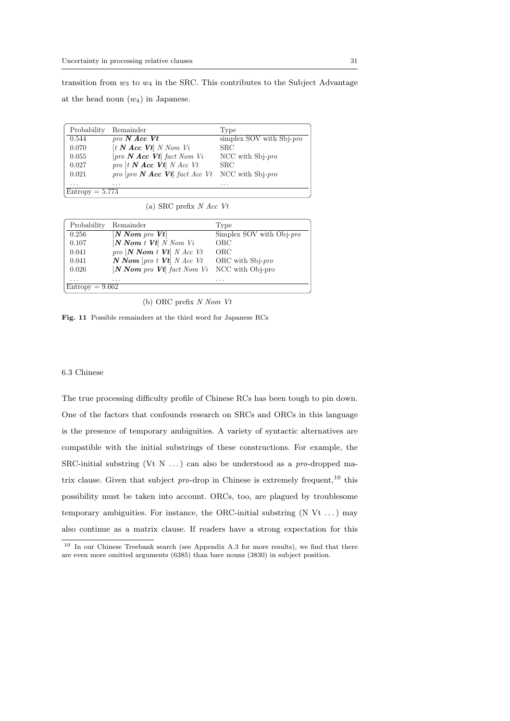transition from  $w_3$  to  $w_4$  in the SRC. This contributes to the Subject Advantage

at the head noun  $(w_4)$  in Japanese.

| Probability       | Remainder                                                                     | Type                        |
|-------------------|-------------------------------------------------------------------------------|-----------------------------|
| 0.544             | $\textit{pro N Acc } Vt$                                                      | simplex SOV with $Sbj$ -pro |
| 0.070             | $[t \mathbf{N} \text{ Acc } \mathbf{V}t] \text{ } N \text{ } N \text{om } Vi$ | <b>SRC</b>                  |
| 0.055             | $[pro\ N \text{ Acc } Vt]$ fact Nom Vi                                        | NCC with $Sb$ <i>i-pro</i>  |
| 0.027             | $pro$ [t $N$ Acc $Vt$ ] $N$ Acc $Vt$                                          | <b>SRC</b>                  |
| 0.021             | pro $[pro\ N \text{ Acc } Vt]$ fact Acc Vt                                    | NCC with $Sb$ <i>i-pro</i>  |
| .                 | $\cdots$                                                                      | .                           |
| $Entropy = 5.773$ |                                                                               |                             |

(a) SRC prefix N Acc Vt

| Probability       | Remainder                                                      | Type                     |
|-------------------|----------------------------------------------------------------|--------------------------|
| 0.256             | $[N Nom \text{ pro } Vt]$                                      | Simplex SOV with Obj-pro |
| 0.107             | $[N Nom t Vt]$ N Nom Vi                                        | ORC                      |
| 0.041             | $\textit{pro}$ [N Nom t Vt] N Acc Vt                           | ORC                      |
| 0.041             | $N Nom$ [pro t $Vt$ ] N Acc Vt                                 | ORC with $Sbj$ -pro      |
| 0.026             | $[N \text{ Nom} \text{ pro } Vt]$ fact Nom Vi NCC with Obj-pro |                          |
| .                 | .                                                              | $\cdots$                 |
| $Entropy = 9.662$ |                                                                |                          |

(b) ORC prefix N Nom Vt

Fig. 11 Possible remainders at the third word for Japanese RCs

#### 6.3 Chinese

The true processing difficulty profile of Chinese RCs has been tough to pin down. One of the factors that confounds research on SRCs and ORCs in this language is the presence of temporary ambiguities. A variety of syntactic alternatives are compatible with the initial substrings of these constructions. For example, the SRC-initial substring (Vt N  $\dots$ ) can also be understood as a pro-dropped matrix clause. Given that subject  $pro$ -drop in Chinese is extremely frequent,<sup>10</sup> this possibility must be taken into account. ORCs, too, are plagued by troublesome temporary ambiguities. For instance, the ORC-initial substring  $(N Vt ...)$  may also continue as a matrix clause. If readers have a strong expectation for this

<sup>10</sup> In our Chinese Treebank search (see Appendix A.3 for more results), we find that there are even more omitted arguments (6385) than bare nouns (3830) in subject position.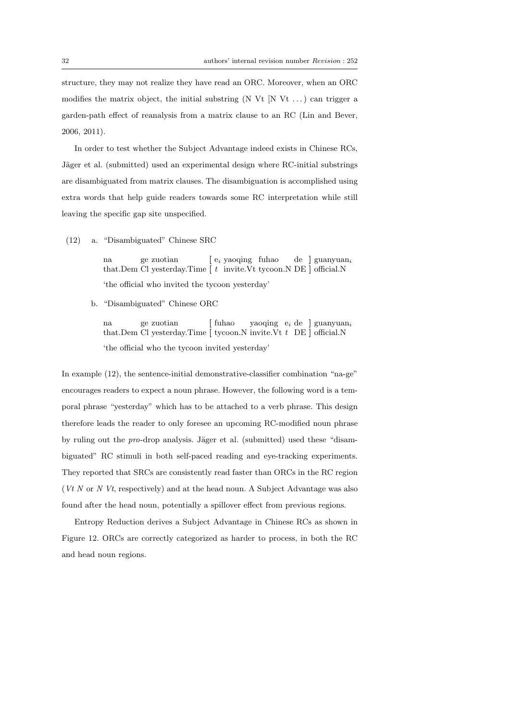structure, they may not realize they have read an ORC. Moreover, when an ORC modifies the matrix object, the initial substring  $(N Vt N Vt ...)$  can trigger a garden-path effect of reanalysis from a matrix clause to an RC (Lin and Bever, 2006, 2011).

In order to test whether the Subject Advantage indeed exists in Chinese RCs, Jäger et al. (submitted) used an experimental design where RC-initial substrings are disambiguated from matrix clauses. The disambiguation is accomplished using extra words that help guide readers towards some RC interpretation while still leaving the specific gap site unspecified.

(12) a. "Disambiguated" Chinese SRC

na that.Dem ge Cl zuotian yesterday.Time [ [  $\mathbf{e}_i$ t yaoqing invite.Vt fuhao tycoon.N de DE ] ] guanyuan<sup>i</sup> official.N 'the official who invited the tycoon yesterday'

b. "Disambiguated" Chinese ORC

na that.Dem Cl yesterday.Time [tycoon.N invite.Vt t DE] official.N ge zuotian [ fuhao yaoqing e<sub>i</sub> de ] guanyuan<sub>i</sub> 'the official who the tycoon invited yesterday'

In example (12), the sentence-initial demonstrative-classifier combination "na-ge" encourages readers to expect a noun phrase. However, the following word is a temporal phrase "yesterday" which has to be attached to a verb phrase. This design therefore leads the reader to only foresee an upcoming RC-modified noun phrase by ruling out the *pro*-drop analysis. Jäger et al. (submitted) used these "disambiguated" RC stimuli in both self-paced reading and eye-tracking experiments. They reported that SRCs are consistently read faster than ORCs in the RC region ( $Vt N$  or  $N Vt$ , respectively) and at the head noun. A Subject Advantage was also found after the head noun, potentially a spillover effect from previous regions.

Entropy Reduction derives a Subject Advantage in Chinese RCs as shown in Figure 12. ORCs are correctly categorized as harder to process, in both the RC and head noun regions.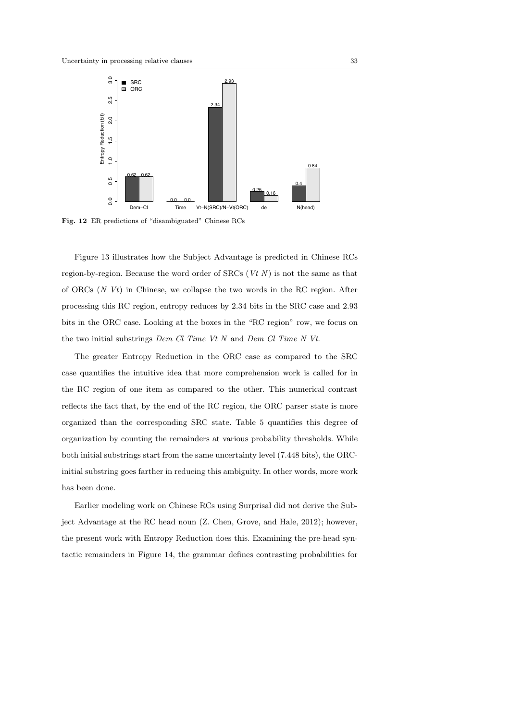

Fig. 12 ER predictions of "disambiguated" Chinese RCs

Figure 13 illustrates how the Subject Advantage is predicted in Chinese RCs region-by-region. Because the word order of SRCs  $(Vt N)$  is not the same as that of ORCs (N Vt) in Chinese, we collapse the two words in the RC region. After processing this RC region, entropy reduces by 2.34 bits in the SRC case and 2.93 bits in the ORC case. Looking at the boxes in the "RC region" row, we focus on the two initial substrings Dem Cl Time Vt N and Dem Cl Time N Vt.

The greater Entropy Reduction in the ORC case as compared to the SRC case quantifies the intuitive idea that more comprehension work is called for in the RC region of one item as compared to the other. This numerical contrast reflects the fact that, by the end of the RC region, the ORC parser state is more organized than the corresponding SRC state. Table 5 quantifies this degree of organization by counting the remainders at various probability thresholds. While both initial substrings start from the same uncertainty level (7.448 bits), the ORCinitial substring goes farther in reducing this ambiguity. In other words, more work has been done.

Earlier modeling work on Chinese RCs using Surprisal did not derive the Subject Advantage at the RC head noun (Z. Chen, Grove, and Hale, 2012); however, the present work with Entropy Reduction does this. Examining the pre-head syntactic remainders in Figure 14, the grammar defines contrasting probabilities for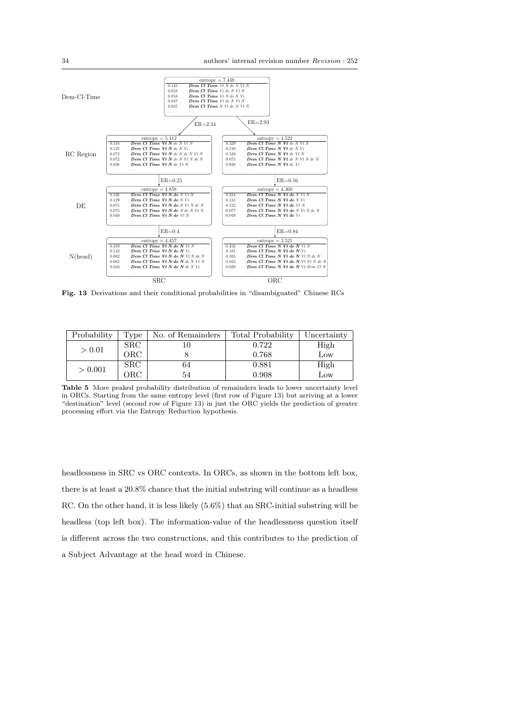

Fig. 13 Derivations and their conditional probabilities in "disambiguated" Chinese RCs

| Probability | Type       | No. of Remainders | Total Probability | Uncertainty |
|-------------|------------|-------------------|-------------------|-------------|
| > 0.01      | <b>SRC</b> |                   | 0.722             | High        |
|             | ORC        |                   | 0.768             | Low         |
| > 0.001     | <b>SRC</b> | 64                | 0.881             | High        |
|             | ORC        | 54                | 0.908             | Low         |

Table 5 More peaked probability distribution of remainders leads to lower uncertainty level in ORCs. Starting from the same entropy level (first row of Figure 13) but arriving at a lower "destination" level (second row of Figure 13) in just the ORC yields the prediction of greater processing effort via the Entropy Reduction hypothesis.

headlessness in SRC vs ORC contexts. In ORCs, as shown in the bottom left box, there is at least a 20.8% chance that the initial substring will continue as a headless RC. On the other hand, it is less likely (5.6%) that an SRC-initial substring will be headless (top left box). The information-value of the headlessness question itself is different across the two constructions, and this contributes to the prediction of a Subject Advantage at the head word in Chinese.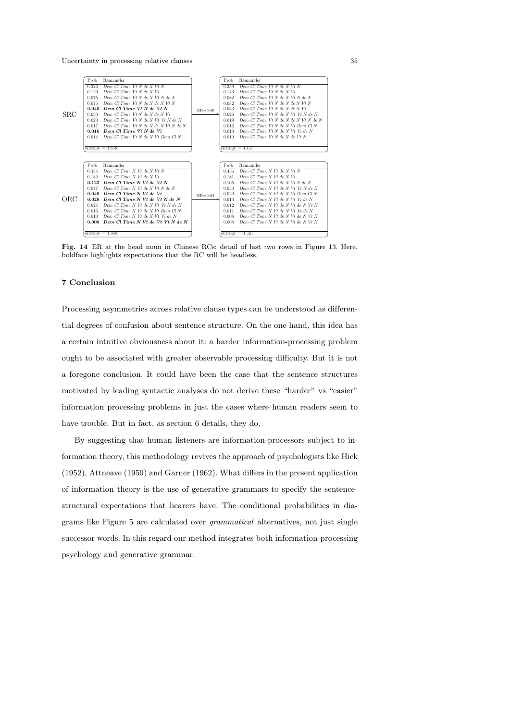

Fig. 14 ER at the head noun in Chinese RCs; detail of last two rows in Figure 13. Here, boldface highlights expectations that the RC will be headless.

### 7 Conclusion

Processing asymmetries across relative clause types can be understood as differential degrees of confusion about sentence structure. On the one hand, this idea has a certain intuitive obviousness about it: a harder information-processing problem ought to be associated with greater observable processing difficulty. But it is not a foregone conclusion. It could have been the case that the sentence structures motivated by leading syntactic analyses do not derive these "harder" vs "easier" information processing problems in just the cases where human readers seem to have trouble. But in fact, as section 6 details, they do.

By suggesting that human listeners are information-processors subject to information theory, this methodology revives the approach of psychologists like Hick (1952), Attneave (1959) and Garner (1962). What differs in the present application of information theory is the use of generative grammars to specify the sentencestructural expectations that hearers have. The conditional probabilities in diagrams like Figure 5 are calculated over grammatical alternatives, not just single successor words. In this regard our method integrates both information-processing psychology and generative grammar.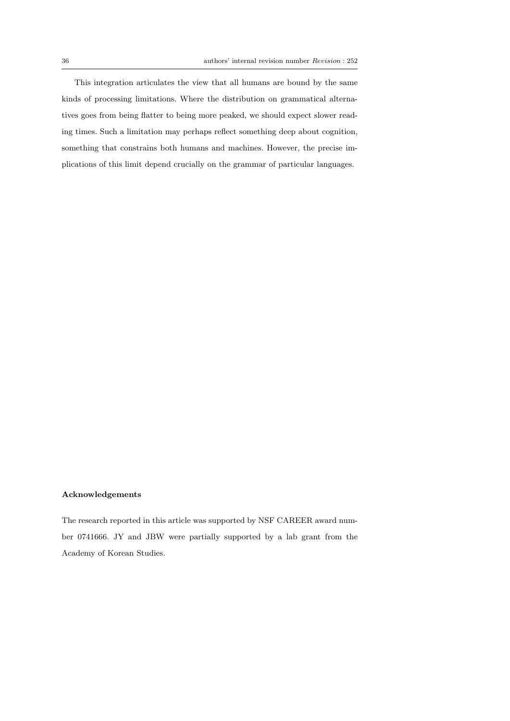This integration articulates the view that all humans are bound by the same kinds of processing limitations. Where the distribution on grammatical alternatives goes from being flatter to being more peaked, we should expect slower reading times. Such a limitation may perhaps reflect something deep about cognition, something that constrains both humans and machines. However, the precise implications of this limit depend crucially on the grammar of particular languages.

### Acknowledgements

The research reported in this article was supported by NSF CAREER award number 0741666. JY and JBW were partially supported by a lab grant from the Academy of Korean Studies.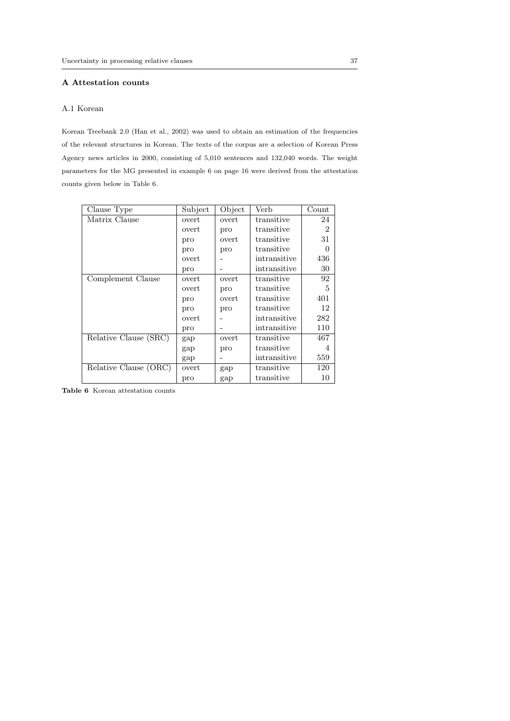## A Attestation counts

### A.1 Korean

Korean Treebank 2.0 (Han et al., 2002) was used to obtain an estimation of the frequencies of the relevant structures in Korean. The texts of the corpus are a selection of Korean Press Agency news articles in 2000, consisting of 5,010 sentences and 132,040 words. The weight parameters for the MG presented in example 6 on page 16 were derived from the attestation counts given below in Table 6.

| Clause Type           | Subject | Object | Verb         | Count          |
|-----------------------|---------|--------|--------------|----------------|
| Matrix Clause         | overt   | overt  | transitive   | 24             |
|                       | overt   | pro    | transitive   | $\overline{2}$ |
|                       | pro     | overt  | transitive   | 31             |
|                       | pro     | pro    | transitive   | $\Omega$       |
|                       | overt   |        | intransitive | 436            |
|                       | pro     |        | intransitive | 30             |
| Complement Clause     | overt   | overt  | transitive   | 92             |
|                       | overt   | pro    | transitive   | $\frac{5}{2}$  |
|                       | pro     | overt  | transitive   | 401            |
|                       | pro     | pro    | transitive   | 12             |
|                       | overt   |        | intransitive | 282            |
|                       | pro     |        | intransitive | 110            |
| Relative Clause (SRC) | gap     | overt  | transitive   | 467            |
|                       | gap     | pro    | transitive   | 4              |
|                       | gap     |        | intransitive | 559            |
| Relative Clause (ORC) | overt   | gap    | transitive   | 120            |
|                       | pro     | gap    | transitive   | 10             |

Table 6 Korean attestation counts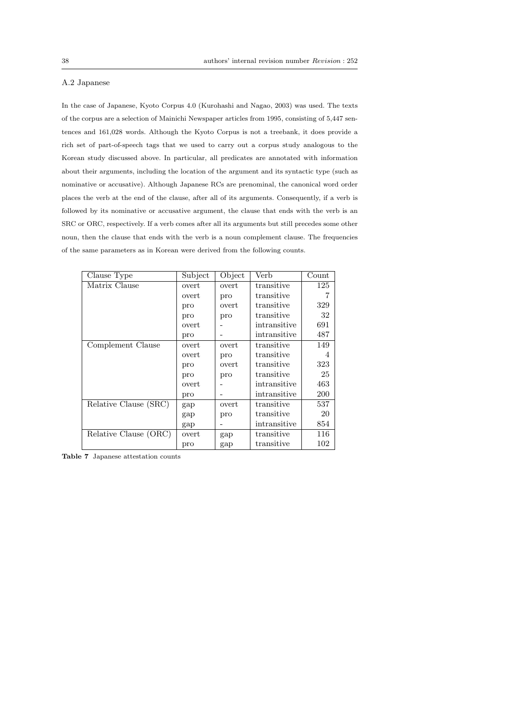### A.2 Japanese

In the case of Japanese, Kyoto Corpus 4.0 (Kurohashi and Nagao, 2003) was used. The texts of the corpus are a selection of Mainichi Newspaper articles from 1995, consisting of 5,447 sentences and 161,028 words. Although the Kyoto Corpus is not a treebank, it does provide a rich set of part-of-speech tags that we used to carry out a corpus study analogous to the Korean study discussed above. In particular, all predicates are annotated with information about their arguments, including the location of the argument and its syntactic type (such as nominative or accusative). Although Japanese RCs are prenominal, the canonical word order places the verb at the end of the clause, after all of its arguments. Consequently, if a verb is followed by its nominative or accusative argument, the clause that ends with the verb is an SRC or ORC, respectively. If a verb comes after all its arguments but still precedes some other noun, then the clause that ends with the verb is a noun complement clause. The frequencies of the same parameters as in Korean were derived from the following counts.

| Clause Type           | Subject | Object | Verb         | Count |
|-----------------------|---------|--------|--------------|-------|
| Matrix Clause         | overt   | overt  | transitive   | 125   |
|                       | overt   | pro    | transitive   |       |
|                       | pro     | overt  | transitive   | 329   |
|                       | pro     | pro    | transitive   | 32    |
|                       | overt   |        | intransitive | 691   |
|                       | pro     |        | intransitive | 487   |
| Complement Clause     | overt   | overt  | transitive   | 149   |
|                       | overt   | pro    | transitive   | 4     |
|                       | pro     | overt  | transitive   | 323   |
|                       | pro     | pro    | transitive   | 25    |
|                       | overt   |        | intransitive | 463   |
|                       | pro     |        | intransitive | 200   |
| Relative Clause (SRC) | gap     | overt  | transitive   | 537   |
|                       | gap     | pro    | transitive   | 20    |
|                       | gap     |        | intransitive | 854   |
| Relative Clause (ORC) | overt   | gap    | transitive   | 116   |
|                       | pro     | gap    | transitive   | 102   |

Table 7 Japanese attestation counts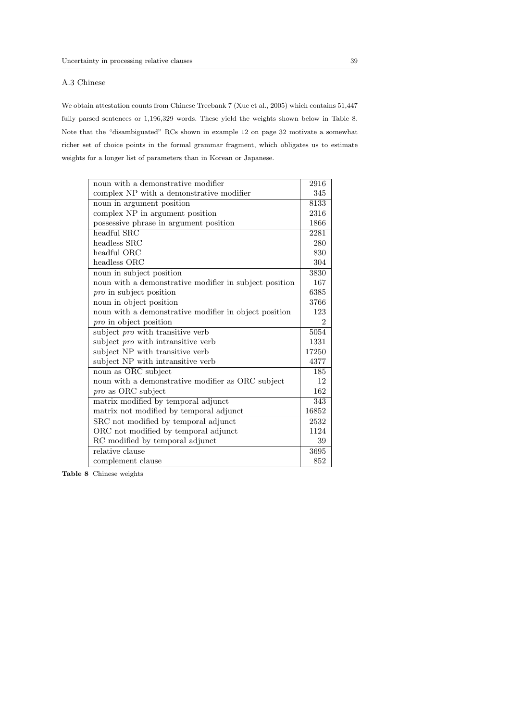## A.3 Chinese

We obtain attestation counts from Chinese Treebank 7 (Xue et al., 2005) which contains 51,447 fully parsed sentences or 1,196,329 words. These yield the weights shown below in Table 8. Note that the "disambiguated" RCs shown in example 12 on page 32 motivate a somewhat richer set of choice points in the formal grammar fragment, which obligates us to estimate weights for a longer list of parameters than in Korean or Japanese.

| noun with a demonstrative modifier                     |      |
|--------------------------------------------------------|------|
| complex NP with a demonstrative modifier               |      |
| noun in argument position                              |      |
| complex NP in argument position                        |      |
| possessive phrase in argument position                 |      |
| headful SRC                                            |      |
| headless SRC                                           | 280  |
| headful ORC                                            | 830  |
| headless ORC                                           | 304  |
| noun in subject position                               | 3830 |
| noun with a demonstrative modifier in subject position | 167  |
| <i>pro</i> in subject position                         | 6385 |
| noun in object position                                | 3766 |
| noun with a demonstrative modifier in object position  | 123  |
| <i>pro</i> in object position                          |      |
| subject <i>pro</i> with transitive verb                |      |
| subject <i>pro</i> with intransitive verb              |      |
| subject NP with transitive verb                        |      |
| subject NP with intransitive verb                      |      |
| noun as ORC subject                                    |      |
| noun with a demonstrative modifier as ORC subject      |      |
| <i>pro</i> as ORC subject                              |      |
| matrix modified by temporal adjunct                    |      |
| matrix not modified by temporal adjunct                |      |
| SRC not modified by temporal adjunct                   |      |
| ORC not modified by temporal adjunct                   |      |
| RC modified by temporal adjunct                        |      |
| relative clause                                        |      |
| complement clause                                      |      |

Table 8 Chinese weights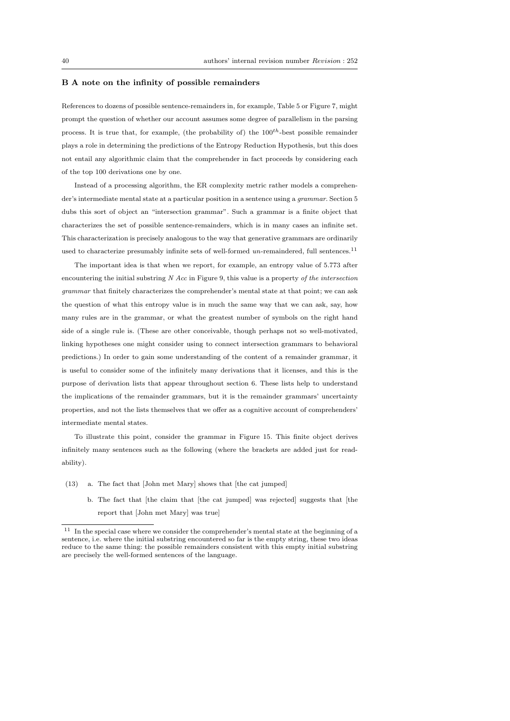#### B A note on the infinity of possible remainders

References to dozens of possible sentence-remainders in, for example, Table 5 or Figure 7, might prompt the question of whether our account assumes some degree of parallelism in the parsing process. It is true that, for example, (the probability of) the  $100^{th}$ -best possible remainder plays a role in determining the predictions of the Entropy Reduction Hypothesis, but this does not entail any algorithmic claim that the comprehender in fact proceeds by considering each of the top 100 derivations one by one.

Instead of a processing algorithm, the ER complexity metric rather models a comprehender's intermediate mental state at a particular position in a sentence using a grammar. Section 5 dubs this sort of object an "intersection grammar". Such a grammar is a finite object that characterizes the set of possible sentence-remainders, which is in many cases an infinite set. This characterization is precisely analogous to the way that generative grammars are ordinarily used to characterize presumably infinite sets of well-formed  $\it un$ -remaindered, full sentences.<sup>11</sup>

The important idea is that when we report, for example, an entropy value of 5.773 after encountering the initial substring  $N$  Acc in Figure 9, this value is a property of the intersection grammar that finitely characterizes the comprehender's mental state at that point; we can ask the question of what this entropy value is in much the same way that we can ask, say, how many rules are in the grammar, or what the greatest number of symbols on the right hand side of a single rule is. (These are other conceivable, though perhaps not so well-motivated, linking hypotheses one might consider using to connect intersection grammars to behavioral predictions.) In order to gain some understanding of the content of a remainder grammar, it is useful to consider some of the infinitely many derivations that it licenses, and this is the purpose of derivation lists that appear throughout section 6. These lists help to understand the implications of the remainder grammars, but it is the remainder grammars' uncertainty properties, and not the lists themselves that we offer as a cognitive account of comprehenders' intermediate mental states.

To illustrate this point, consider the grammar in Figure 15. This finite object derives infinitely many sentences such as the following (where the brackets are added just for readability).

- (13) a. The fact that [John met Mary] shows that [the cat jumped]
	- b. The fact that [the claim that [the cat jumped] was rejected] suggests that [the report that [John met Mary] was true]

 $^\mathrm{11}$  In the special case where we consider the comprehender's mental state at the beginning of a sentence, i.e. where the initial substring encountered so far is the empty string, these two ideas reduce to the same thing: the possible remainders consistent with this empty initial substring are precisely the well-formed sentences of the language.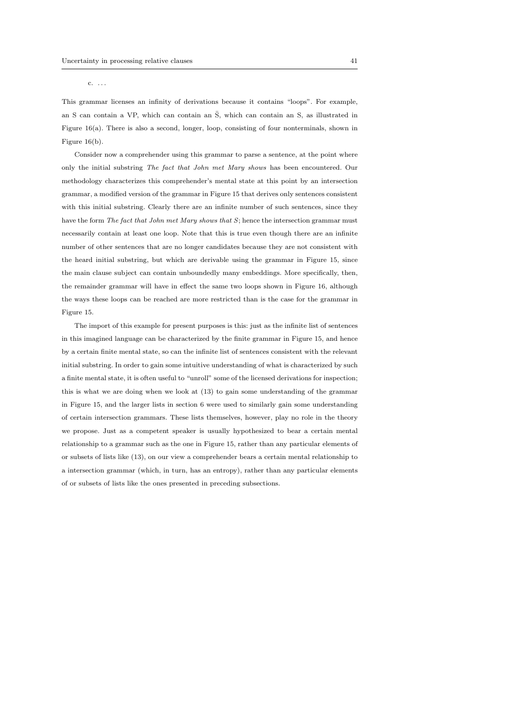#### c. . . .

This grammar licenses an infinity of derivations because it contains "loops". For example, an S can contain a VP, which can contain an  $\overline{S}$ , which can contain an S, as illustrated in Figure 16(a). There is also a second, longer, loop, consisting of four nonterminals, shown in Figure 16(b).

Consider now a comprehender using this grammar to parse a sentence, at the point where only the initial substring The fact that John met Mary shows has been encountered. Our methodology characterizes this comprehender's mental state at this point by an intersection grammar, a modified version of the grammar in Figure 15 that derives only sentences consistent with this initial substring. Clearly there are an infinite number of such sentences, since they have the form The fact that John met Mary shows that S; hence the intersection grammar must necessarily contain at least one loop. Note that this is true even though there are an infinite number of other sentences that are no longer candidates because they are not consistent with the heard initial substring, but which are derivable using the grammar in Figure 15, since the main clause subject can contain unboundedly many embeddings. More specifically, then, the remainder grammar will have in effect the same two loops shown in Figure 16, although the ways these loops can be reached are more restricted than is the case for the grammar in Figure 15.

The import of this example for present purposes is this: just as the infinite list of sentences in this imagined language can be characterized by the finite grammar in Figure 15, and hence by a certain finite mental state, so can the infinite list of sentences consistent with the relevant initial substring. In order to gain some intuitive understanding of what is characterized by such a finite mental state, it is often useful to "unroll" some of the licensed derivations for inspection; this is what we are doing when we look at (13) to gain some understanding of the grammar in Figure 15, and the larger lists in section 6 were used to similarly gain some understanding of certain intersection grammars. These lists themselves, however, play no role in the theory we propose. Just as a competent speaker is usually hypothesized to bear a certain mental relationship to a grammar such as the one in Figure 15, rather than any particular elements of or subsets of lists like (13), on our view a comprehender bears a certain mental relationship to a intersection grammar (which, in turn, has an entropy), rather than any particular elements of or subsets of lists like the ones presented in preceding subsections.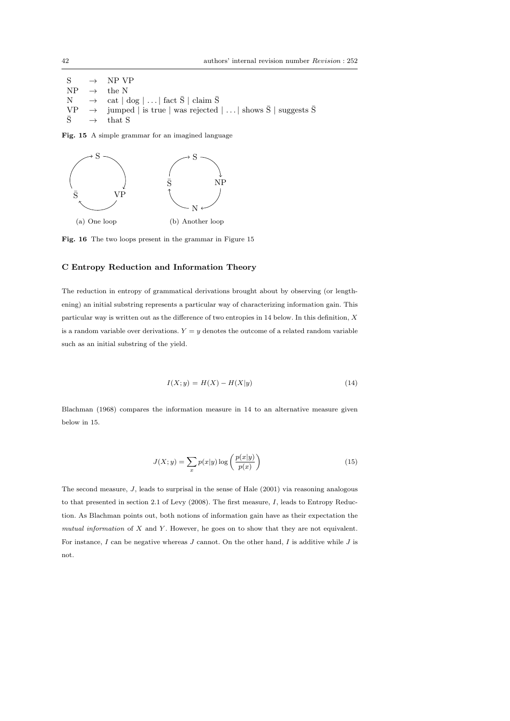$S \rightarrow NP VP$  $NP \rightarrow$  the N  $N \rightarrow \text{cat } | \text{ dog } | \dots | \text{ fact } \overline{S} | \text{ claim } \overline{S}$  $\begin{array}{ccc} \n\text{VP} & \rightarrow & \text{jumped} \mid \text{is true} \mid \text{was rejected} \mid \ldots \mid \text{shows } \overline{\text{S}} \mid \text{suggests } \overline{\text{S}} \\ \n\overline{\text{S}} & \rightarrow & \text{that } \text{S} \n\end{array}$  $\rightarrow$  that S

Fig. 15 A simple grammar for an imagined language



Fig. 16 The two loops present in the grammar in Figure 15

## C Entropy Reduction and Information Theory

The reduction in entropy of grammatical derivations brought about by observing (or lengthening) an initial substring represents a particular way of characterizing information gain. This particular way is written out as the difference of two entropies in 14 below. In this definition,  $X$ is a random variable over derivations.  $Y = y$  denotes the outcome of a related random variable such as an initial substring of the yield.

$$
I(X; y) = H(X) - H(X|y) \tag{14}
$$

Blachman (1968) compares the information measure in 14 to an alternative measure given below in 15.

$$
J(X; y) = \sum_{x} p(x|y) \log \left( \frac{p(x|y)}{p(x)} \right)
$$
 (15)

The second measure,  $J$ , leads to surprisal in the sense of Hale  $(2001)$  via reasoning analogous to that presented in section 2.1 of Levy (2008). The first measure, I, leads to Entropy Reduction. As Blachman points out, both notions of information gain have as their expectation the mutual information of  $X$  and  $Y$ . However, he goes on to show that they are not equivalent. For instance,  $I$  can be negative whereas  $J$  cannot. On the other hand,  $I$  is additive while  $J$  is not.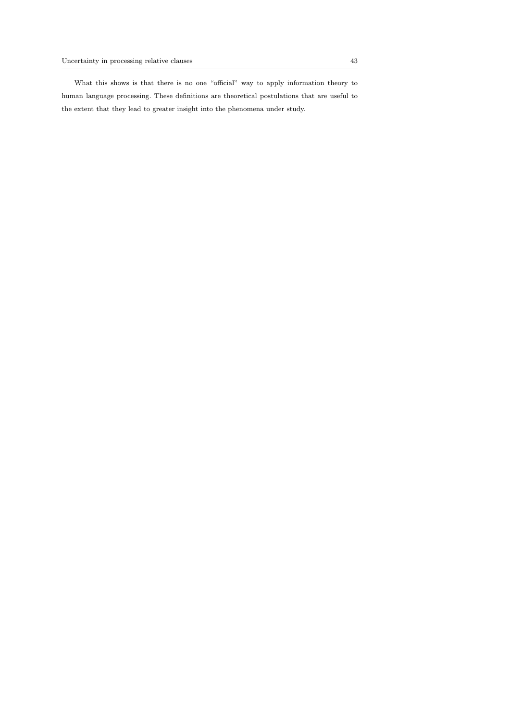What this shows is that there is no one "official" way to apply information theory to human language processing. These definitions are theoretical postulations that are useful to the extent that they lead to greater insight into the phenomena under study.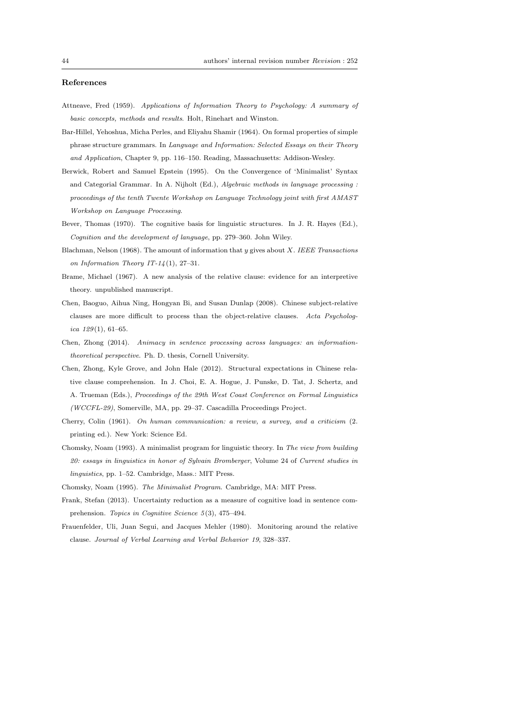#### References

- Attneave, Fred (1959). Applications of Information Theory to Psychology: A summary of basic concepts, methods and results. Holt, Rinehart and Winston.
- Bar-Hillel, Yehoshua, Micha Perles, and Eliyahu Shamir (1964). On formal properties of simple phrase structure grammars. In Language and Information: Selected Essays on their Theory and Application, Chapter 9, pp. 116–150. Reading, Massachusetts: Addison-Wesley.
- Berwick, Robert and Samuel Epstein (1995). On the Convergence of 'Minimalist' Syntax and Categorial Grammar. In A. Nijholt (Ed.), Algebraic methods in language processing : proceedings of the tenth Twente Workshop on Language Technology joint with first AMAST Workshop on Language Processing.
- Bever, Thomas (1970). The cognitive basis for linguistic structures. In J. R. Hayes (Ed.), Cognition and the development of language, pp. 279–360. John Wiley.
- Blachman, Nelson (1968). The amount of information that  $y$  gives about X. IEEE Transactions on Information Theory IT-14(1), 27-31.
- Brame, Michael (1967). A new analysis of the relative clause: evidence for an interpretive theory. unpublished manuscript.
- Chen, Baoguo, Aihua Ning, Hongyan Bi, and Susan Dunlap (2008). Chinese subject-relative clauses are more difficult to process than the object-relative clauses. Acta Psychologica  $129(1)$ , 61-65.
- Chen, Zhong (2014). Animacy in sentence processing across languages: an informationtheoretical perspective. Ph. D. thesis, Cornell University.
- Chen, Zhong, Kyle Grove, and John Hale (2012). Structural expectations in Chinese relative clause comprehension. In J. Choi, E. A. Hogue, J. Punske, D. Tat, J. Schertz, and A. Trueman (Eds.), Proceedings of the 29th West Coast Conference on Formal Linguistics (WCCFL-29), Somerville, MA, pp. 29–37. Cascadilla Proceedings Project.
- Cherry, Colin (1961). On human communication: a review, a survey, and a criticism (2. printing ed.). New York: Science Ed.
- Chomsky, Noam (1993). A minimalist program for linguistic theory. In The view from building 20: essays in linguistics in honor of Sylvain Bromberger, Volume 24 of Current studies in linguistics, pp. 1–52. Cambridge, Mass.: MIT Press.
- Chomsky, Noam (1995). The Minimalist Program. Cambridge, MA: MIT Press.
- Frank, Stefan (2013). Uncertainty reduction as a measure of cognitive load in sentence comprehension. Topics in Cognitive Science 5(3), 475-494.
- Frauenfelder, Uli, Juan Segui, and Jacques Mehler (1980). Monitoring around the relative clause. Journal of Verbal Learning and Verbal Behavior 19, 328–337.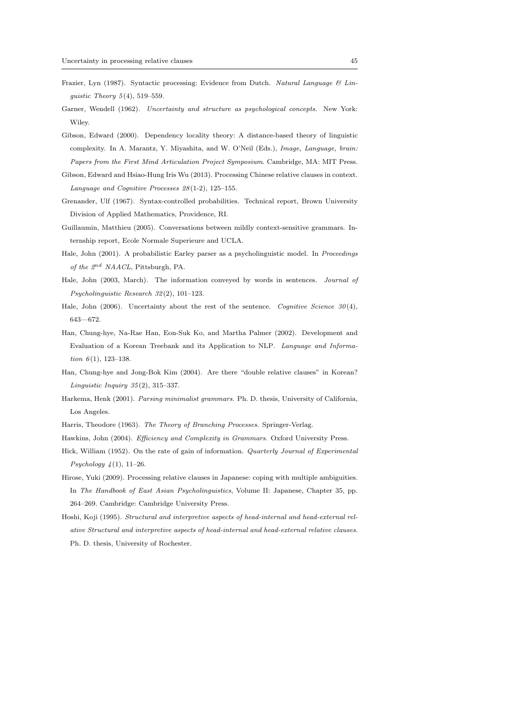- Frazier, Lyn (1987). Syntactic processing: Evidence from Dutch. Natural Language & Linguistic Theory  $5(4)$ , 519–559.
- Garner, Wendell (1962). Uncertainty and structure as psychological concepts. New York: Wiley.
- Gibson, Edward (2000). Dependency locality theory: A distance-based theory of linguistic complexity. In A. Marantz, Y. Miyashita, and W. O'Neil (Eds.), Image, Language, brain: Papers from the First Mind Articulation Project Symposium. Cambridge, MA: MIT Press.
- Gibson, Edward and Hsiao-Hung Iris Wu (2013). Processing Chinese relative clauses in context. Language and Cognitive Processes 28 (1-2), 125–155.
- Grenander, Ulf (1967). Syntax-controlled probabilities. Technical report, Brown University Division of Applied Mathematics, Providence, RI.
- Guillaumin, Matthieu (2005). Conversations between mildly context-sensitive grammars. Internship report, Ecole Normale Superieure and UCLA.
- Hale, John (2001). A probabilistic Earley parser as a psycholinguistic model. In Proceedings of the  $2^{nd}$  NAACL, Pittsburgh, PA.
- Hale, John (2003, March). The information conveyed by words in sentences. Journal of Psycholinguistic Research 32 (2), 101–123.
- Hale, John (2006). Uncertainty about the rest of the sentence. Cognitive Science  $30(4)$ , 643—672.
- Han, Chung-hye, Na-Rae Han, Eon-Suk Ko, and Martha Palmer (2002). Development and Evaluation of a Korean Treebank and its Application to NLP. Language and Information  $6(1)$ , 123-138.
- Han, Chung-hye and Jong-Bok Kim (2004). Are there "double relative clauses" in Korean? Linguistic Inquiry 35 (2), 315–337.
- Harkema, Henk (2001). Parsing minimalist grammars. Ph. D. thesis, University of California, Los Angeles.
- Harris, Theodore (1963). The Theory of Branching Processes. Springer-Verlag.
- Hawkins, John (2004). Efficiency and Complexity in Grammars. Oxford University Press.
- Hick, William (1952). On the rate of gain of information. Quarterly Journal of Experimental *Psychology*  $4(1)$ , 11–26.
- Hirose, Yuki (2009). Processing relative clauses in Japanese: coping with multiple ambiguities. In The Handbook of East Asian Psycholinguistics, Volume II: Japanese, Chapter 35, pp. 264–269. Cambridge: Cambridge University Press.
- Hoshi, Koji (1995). Structural and interpretive aspects of head-internal and head-external relative Structural and interpretive aspects of head-internal and head-external relative clauses. Ph. D. thesis, University of Rochester.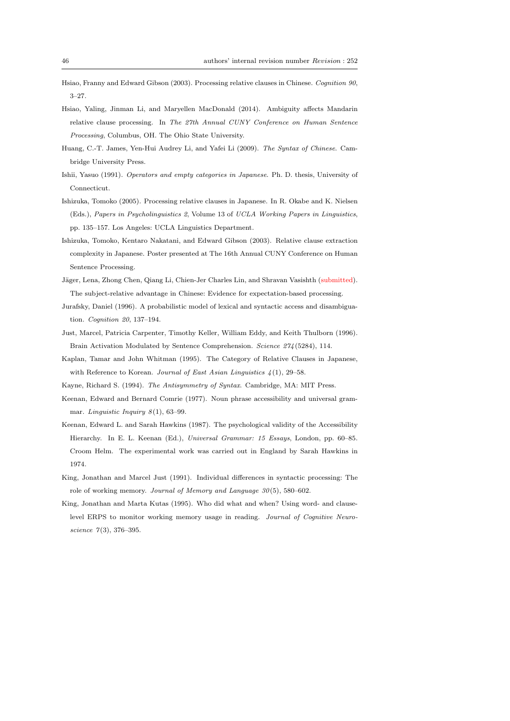- Hsiao, Franny and Edward Gibson (2003). Processing relative clauses in Chinese. Cognition 90, 3–27.
- Hsiao, Yaling, Jinman Li, and Maryellen MacDonald (2014). Ambiguity affects Mandarin relative clause processing. In The 27th Annual CUNY Conference on Human Sentence Processing, Columbus, OH. The Ohio State University.
- Huang, C.-T. James, Yen-Hui Audrey Li, and Yafei Li (2009). The Syntax of Chinese. Cambridge University Press.
- Ishii, Yasuo (1991). Operators and empty categories in Japanese. Ph. D. thesis, University of Connecticut.
- Ishizuka, Tomoko (2005). Processing relative clauses in Japanese. In R. Okabe and K. Nielsen (Eds.), Papers in Psycholinguistics 2, Volume 13 of UCLA Working Papers in Linguistics, pp. 135–157. Los Angeles: UCLA Linguistics Department.
- Ishizuka, Tomoko, Kentaro Nakatani, and Edward Gibson (2003). Relative clause extraction complexity in Japanese. Poster presented at The 16th Annual CUNY Conference on Human Sentence Processing.
- Jäger, Lena, Zhong Chen, Qiang Li, Chien-Jer Charles Lin, and Shravan Vasishth (submitted). The subject-relative advantage in Chinese: Evidence for expectation-based processing.
- Jurafsky, Daniel (1996). A probabilistic model of lexical and syntactic access and disambiguation. Cognition 20, 137–194.
- Just, Marcel, Patricia Carpenter, Timothy Keller, William Eddy, and Keith Thulborn (1996). Brain Activation Modulated by Sentence Comprehension. Science 274 (5284), 114.
- Kaplan, Tamar and John Whitman (1995). The Category of Relative Clauses in Japanese, with Reference to Korean. Journal of East Asian Linguistics  $\frac{1}{4}(1)$ , 29–58.
- Kayne, Richard S. (1994). The Antisymmetry of Syntax. Cambridge, MA: MIT Press.
- Keenan, Edward and Bernard Comrie (1977). Noun phrase accessibility and universal grammar. Linguistic Inquiry  $8(1)$ , 63-99.
- Keenan, Edward L. and Sarah Hawkins (1987). The psychological validity of the Accessibility Hierarchy. In E. L. Keenan (Ed.), Universal Grammar: 15 Essays, London, pp. 60–85. Croom Helm. The experimental work was carried out in England by Sarah Hawkins in 1974.
- King, Jonathan and Marcel Just (1991). Individual differences in syntactic processing: The role of working memory. Journal of Memory and Language 30 (5), 580–602.
- King, Jonathan and Marta Kutas (1995). Who did what and when? Using word- and clauselevel ERPS to monitor working memory usage in reading. Journal of Cognitive Neuroscience  $7(3)$ , 376-395.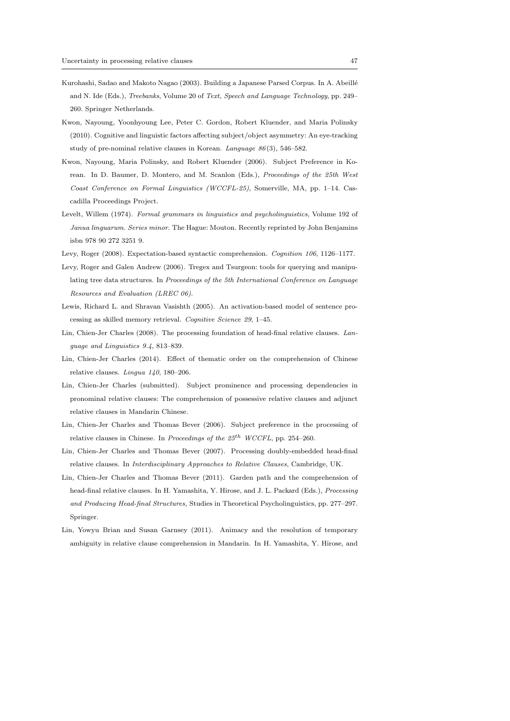- Kurohashi, Sadao and Makoto Nagao (2003). Building a Japanese Parsed Corpus. In A. Abeillé and N. Ide (Eds.), Treebanks, Volume 20 of Text, Speech and Language Technology, pp. 249– 260. Springer Netherlands.
- Kwon, Nayoung, Yoonhyoung Lee, Peter C. Gordon, Robert Kluender, and Maria Polinsky (2010). Cognitive and linguistic factors affecting subject/object asymmetry: An eye-tracking study of pre-nominal relative clauses in Korean. Language 86 (3), 546–582.
- Kwon, Nayoung, Maria Polinsky, and Robert Kluender (2006). Subject Preference in Korean. In D. Baumer, D. Montero, and M. Scanlon (Eds.), Proceedings of the 25th West Coast Conference on Formal Linguistics (WCCFL-25), Somerville, MA, pp. 1–14. Cascadilla Proceedings Project.
- Levelt, Willem (1974). Formal grammars in linguistics and psycholinguistics, Volume 192 of Janua linguarum. Series minor. The Hague: Mouton. Recently reprinted by John Benjamins isbn 978 90 272 3251 9.
- Levy, Roger (2008). Expectation-based syntactic comprehension. Cognition 106, 1126–1177.
- Levy, Roger and Galen Andrew (2006). Tregex and Tsurgeon: tools for querying and manipulating tree data structures. In Proceedings of the 5th International Conference on Language Resources and Evaluation (LREC 06).
- Lewis, Richard L. and Shravan Vasishth (2005). An activation-based model of sentence processing as skilled memory retrieval. Cognitive Science 29, 1–45.
- Lin, Chien-Jer Charles (2008). The processing foundation of head-final relative clauses. Language and Linguistics 9.4, 813–839.
- Lin, Chien-Jer Charles (2014). Effect of thematic order on the comprehension of Chinese relative clauses. Lingua 140, 180–206.
- Lin, Chien-Jer Charles (submitted). Subject prominence and processing dependencies in pronominal relative clauses: The comprehension of possessive relative clauses and adjunct relative clauses in Mandarin Chinese.
- Lin, Chien-Jer Charles and Thomas Bever (2006). Subject preference in the processing of relative clauses in Chinese. In Proceedings of the  $25^{th}$  WCCFL, pp. 254–260.
- Lin, Chien-Jer Charles and Thomas Bever (2007). Processing doubly-embedded head-final relative clauses. In Interdisciplinary Approaches to Relative Clauses, Cambridge, UK.
- Lin, Chien-Jer Charles and Thomas Bever (2011). Garden path and the comprehension of head-final relative clauses. In H. Yamashita, Y. Hirose, and J. L. Packard (Eds.), Processing and Producing Head-final Structures, Studies in Theoretical Psycholinguistics, pp. 277–297. Springer.
- Lin, Yowyu Brian and Susan Garnsey (2011). Animacy and the resolution of temporary ambiguity in relative clause comprehension in Mandarin. In H. Yamashita, Y. Hirose, and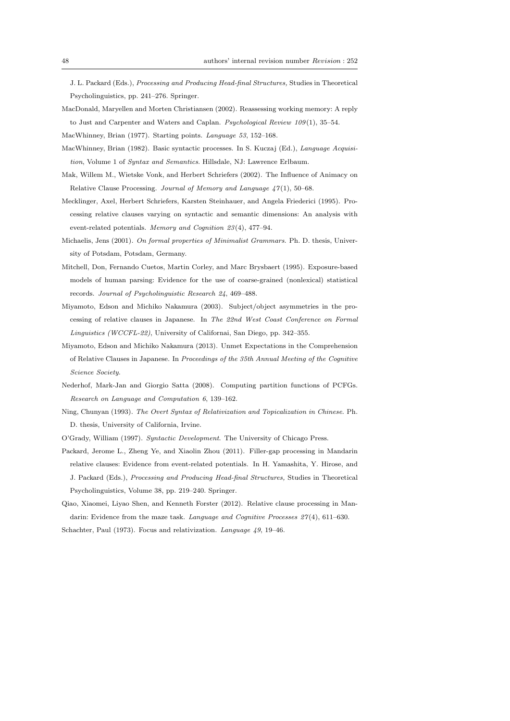J. L. Packard (Eds.), Processing and Producing Head-final Structures, Studies in Theoretical Psycholinguistics, pp. 241–276. Springer.

MacDonald, Maryellen and Morten Christiansen (2002). Reassessing working memory: A reply to Just and Carpenter and Waters and Caplan. Psychological Review 109(1), 35-54.

MacWhinney, Brian (1977). Starting points. Language 53, 152–168.

- MacWhinney, Brian (1982). Basic syntactic processes. In S. Kuczaj (Ed.), Language Acquisition, Volume 1 of Syntax and Semantics. Hillsdale, NJ: Lawrence Erlbaum.
- Mak, Willem M., Wietske Vonk, and Herbert Schriefers (2002). The Influence of Animacy on Relative Clause Processing. Journal of Memory and Language 47 (1), 50–68.
- Mecklinger, Axel, Herbert Schriefers, Karsten Steinhauer, and Angela Friederici (1995). Processing relative clauses varying on syntactic and semantic dimensions: An analysis with event-related potentials. Memory and Cognition 23 (4), 477–94.
- Michaelis, Jens (2001). On formal properties of Minimalist Grammars. Ph. D. thesis, University of Potsdam, Potsdam, Germany.
- Mitchell, Don, Fernando Cuetos, Martin Corley, and Marc Brysbaert (1995). Exposure-based models of human parsing: Evidence for the use of coarse-grained (nonlexical) statistical records. Journal of Psycholinguistic Research 24, 469–488.
- Miyamoto, Edson and Michiko Nakamura (2003). Subject/object asymmetries in the processing of relative clauses in Japanese. In The 22nd West Coast Conference on Formal Linguistics (WCCFL-22), University of Californai, San Diego, pp. 342–355.
- Miyamoto, Edson and Michiko Nakamura (2013). Unmet Expectations in the Comprehension of Relative Clauses in Japanese. In Proceedings of the 35th Annual Meeting of the Cognitive Science Society.
- Nederhof, Mark-Jan and Giorgio Satta (2008). Computing partition functions of PCFGs. Research on Language and Computation 6, 139–162.
- Ning, Chunyan (1993). The Overt Syntax of Relativization and Topicalization in Chinese. Ph. D. thesis, University of California, Irvine.

O'Grady, William (1997). Syntactic Development. The University of Chicago Press.

- Packard, Jerome L., Zheng Ye, and Xiaolin Zhou (2011). Filler-gap processing in Mandarin relative clauses: Evidence from event-related potentials. In H. Yamashita, Y. Hirose, and J. Packard (Eds.), Processing and Producing Head-final Structures, Studies in Theoretical Psycholinguistics, Volume 38, pp. 219–240. Springer.
- Qiao, Xiaomei, Liyao Shen, and Kenneth Forster (2012). Relative clause processing in Mandarin: Evidence from the maze task. Language and Cognitive Processes 27(4), 611–630. Schachter, Paul (1973). Focus and relativization. Language 49, 19–46.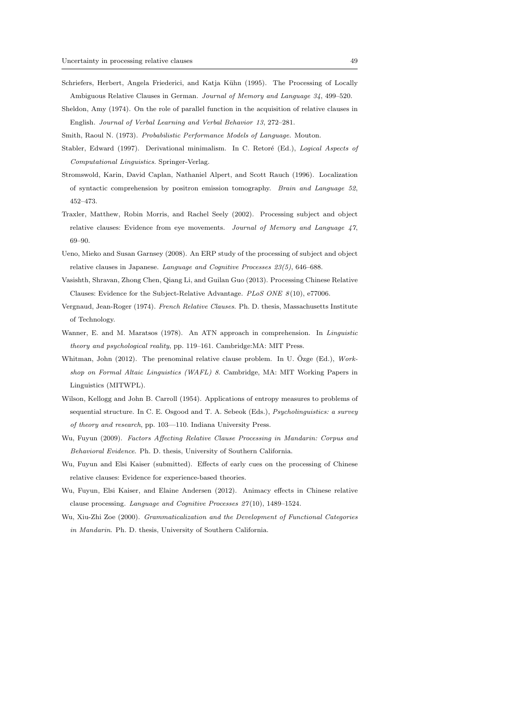- Schriefers, Herbert, Angela Friederici, and Katja Kühn (1995). The Processing of Locally Ambiguous Relative Clauses in German. Journal of Memory and Language 34, 499–520.
- Sheldon, Amy (1974). On the role of parallel function in the acquisition of relative clauses in English. Journal of Verbal Learning and Verbal Behavior 13, 272–281.

Smith, Raoul N. (1973). Probabilistic Performance Models of Language. Mouton.

- Stabler, Edward (1997). Derivational minimalism. In C. Retoré (Ed.), Logical Aspects of Computational Linguistics. Springer-Verlag.
- Stromswold, Karin, David Caplan, Nathaniel Alpert, and Scott Rauch (1996). Localization of syntactic comprehension by positron emission tomography. Brain and Language 52, 452–473.
- Traxler, Matthew, Robin Morris, and Rachel Seely (2002). Processing subject and object relative clauses: Evidence from eye movements. Journal of Memory and Language 47, 69–90.
- Ueno, Mieko and Susan Garnsey (2008). An ERP study of the processing of subject and object relative clauses in Japanese. Language and Cognitive Processes 23(5), 646–688.
- Vasishth, Shravan, Zhong Chen, Qiang Li, and Guilan Guo (2013). Processing Chinese Relative Clauses: Evidence for the Subject-Relative Advantage. PLoS ONE  $8(10)$ , e77006.
- Vergnaud, Jean-Roger (1974). French Relative Clauses. Ph. D. thesis, Massachusetts Institute of Technology.
- Wanner, E. and M. Maratsos (1978). An ATN approach in comprehension. In Linguistic theory and psychological reality, pp. 119–161. Cambridge:MA: MIT Press.
- Whitman, John (2012). The prenominal relative clause problem. In U. Ozge (Ed.),  $Work$ shop on Formal Altaic Linguistics (WAFL) 8. Cambridge, MA: MIT Working Papers in Linguistics (MITWPL).
- Wilson, Kellogg and John B. Carroll (1954). Applications of entropy measures to problems of sequential structure. In C. E. Osgood and T. A. Sebeok (Eds.), Psycholinguistics: a survey of theory and research, pp. 103—110. Indiana University Press.
- Wu, Fuyun (2009). Factors Affecting Relative Clause Processing in Mandarin: Corpus and Behavioral Evidence. Ph. D. thesis, University of Southern California.
- Wu, Fuyun and Elsi Kaiser (submitted). Effects of early cues on the processing of Chinese relative clauses: Evidence for experience-based theories.
- Wu, Fuyun, Elsi Kaiser, and Elaine Andersen (2012). Animacy effects in Chinese relative clause processing. Language and Cognitive Processes 27 (10), 1489–1524.
- Wu, Xiu-Zhi Zoe (2000). Grammaticalization and the Development of Functional Categories in Mandarin. Ph. D. thesis, University of Southern California.